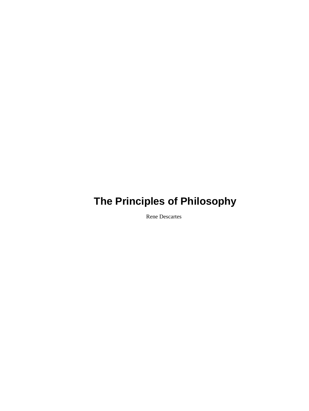Rene Descartes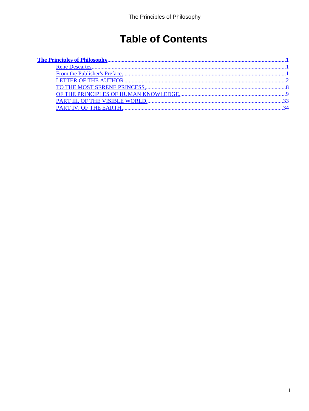# **Table of Contents**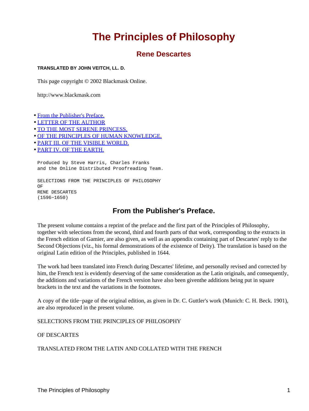# **Rene Descartes**

#### <span id="page-2-0"></span>**TRANSLATED BY JOHN VEITCH, LL. D.**

This page copyright © 2002 Blackmask Online.

http://www.blackmask.com

- From the Publisher's Preface.
- [LETTER OF THE AUTHOR](#page-3-0)
- [TO THE MOST SERENE PRINCESS,](#page-9-0)
- [OF THE PRINCIPLES OF HUMAN KNOWLEDGE.](#page-10-0)
- [PART III. OF THE VISIBLE WORLD.](#page-34-0)
- [PART IV. OF THE EARTH.](#page-35-0)

Produced by Steve Harris, Charles Franks and the Online Distributed Proofreading Team.

SELECTIONS FROM THE PRINCIPLES OF PHILOSOPHY OF RENE DESCARTES (1596−1650)

# **From the Publisher's Preface.**

The present volume contains a reprint of the preface and the first part of the Principles of Philosophy, together with selections from the second, third and fourth parts of that work, corresponding to the extracts in the French edition of Gamier, are also given, as well as an appendix containing part of Descartes' reply to the Second Objections (viz., his formal demonstrations of the existence of Deity). The translation is based on the original Latin edition of the Principles, published in 1644.

The work had been translated into French during Descartes' lifetime, and personally revised and corrected by him, the French text is evidently deserving of the same consideration as the Latin originals, and consequently, the additions and variations of the French version have also been giventhe additions being put in square brackets in the text and the variations in the footnotes.

A copy of the title−page of the original edition, as given in Dr. C. Guttler's work (Munich: C. H. Beck. 1901), are also reproduced in the present volume.

SELECTIONS FROM THE PRINCIPLES OF PHILOSOPHY

OF DESCARTES

TRANSLATED FROM THE LATIN AND COLLATED WITH THE FRENCH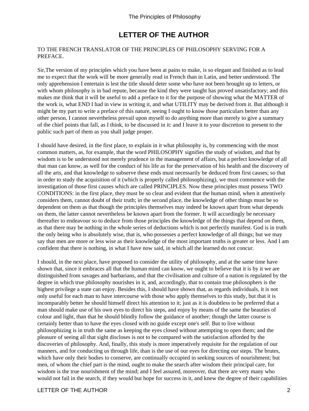# **LETTER OF THE AUTHOR**

#### <span id="page-3-0"></span>TO THE FRENCH TRANSLATOR OF THE PRINCIPLES OF PHILOSOPHY SERVING FOR A PREFACE.

Sir,The version of my principles which you have been at pains to make, is so elegant and finished as to lead me to expect that the work will be more generally read in French than in Latin, and better understood. The only apprehension I entertain is lest the title should deter some who have not been brought up to letters, or with whom philosophy is in bad repute, because the kind they were taught has proved unsatisfactory; and this makes me think that it will be useful to add a preface to it for the purpose of showing what the MATTER of the work is, what END I had in view in writing it, and what UTILITY may be derived from it. But although it might be my part to write a preface of this nature, seeing I ought to know those particulars better than any other person, I cannot nevertheless prevail upon myself to do anything more than merely to give a summary of the chief points that fall, as I think, to be discussed in it: and I leave it to your discretion to present to the public such part of them as you shall judge proper.

I should have desired, in the first place, to explain in it what philosophy is, by commencing with the most common matters, as, for example, that the word PHILOSOPHY signifies the study of wisdom, and that by wisdom is to be understood not merely prudence in the management of affairs, but a perfect knowledge of all that man can know, as well for the conduct of his life as for the preservation of his health and the discovery of all the arts, and that knowledge to subserve these ends must necessarily be deduced from first causes; so that in order to study the acquisition of it (which is properly called philosophizing), we must commence with the investigation of those first causes which are called PRINCIPLES. Now these principles must possess TWO CONDITIONS: in the first place, they must be so clear and evident that the human mind, when it attentively considers them, cannot doubt of their truth; in the second place, the knowledge of other things must be so dependent on them as that though the principles themselves may indeed be known apart from what depends on them, the latter cannot nevertheless be known apart from the former. It will accordingly be necessary thereafter to endeavour so to deduce from those principles the knowledge of the things that depend on them, as that there may be nothing in the whole series of deductions which is not perfectly manifest. God is in truth the only being who is absolutely wise, that is, who possesses a perfect knowledge of all things; but we may say that men are more or less wise as their knowledge of the most important truths is greater or less. And I am confident that there is nothing, in what I have now said, in which all the learned do not concur.

I should, in the next place, have proposed to consider the utility of philosophy, and at the same time have shown that, since it embraces all that the human mind can know, we ought to believe that it is by it we are distinguished from savages and barbarians, and that the civilisation and culture of a nation is regulated by the degree in which true philosophy nourishes in it, and, accordingly, that to contain true philosophers is the highest privilege a state can enjoy. Besides this, I should have shown that, as regards individuals, it is not only useful for each man to have intercourse with those who apply themselves to this study, but that it is incomparably better he should himself direct his attention to it; just as it is doubtless to be preferred that a man should make use of his own eyes to direct his steps, and enjoy by means of the same the beauties of colour and light, than that he should blindly follow the guidance of another; though the latter course is certainly better than to have the eyes closed with no guide except one's self. But to live without philosophizing is in truth the same as keeping the eyes closed without attempting to open them; and the pleasure of seeing all that sight discloses is not to be compared with the satisfaction afforded by the discoveries of philosophy. And, finally, this study is more imperatively requisite for the regulation of our manners, and for conducting us through life, than is the use of our eyes for directing our steps. The brutes, which have only their bodies to conserve, are continually occupied in seeking sources of nourishment; but men, of whom the chief part is the mind, ought to make the search after wisdom their principal care, for wisdom is the true nourishment of the mind; and I feel assured, moreover, that there are very many who would not fail in the search, if they would but hope for success in it, and knew the degree of their capabilities

#### LETTER OF THE AUTHOR 2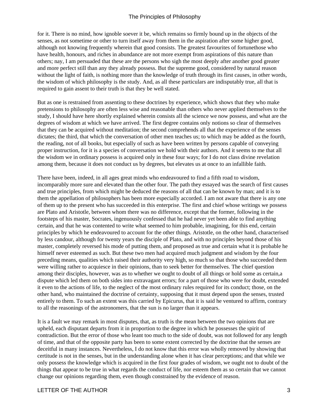for it. There is no mind, how ignoble soever it be, which remains so firmly bound up in the objects of the senses, as not sometime or other to turn itself away from them in the aspiration after some higher good, although not knowing frequently wherein that good consists. The greatest favourites of fortune those who have health, honours, and riches in abundance are not more exempt from aspirations of this nature than others; nay, I am persuaded that these are the persons who sigh the most deeply after another good greater and more perfect still than any they already possess. But the supreme good, considered by natural reason without the light of faith, is nothing more than the knowledge of truth through its first causes, in other words, the wisdom of which philosophy is the study. And, as all these particulars are indisputably true, all that is required to gain assent to their truth is that they be well stated.

But as one is restrained from assenting to these doctrines by experience, which shows that they who make pretensions to philosophy are often less wise and reasonable than others who never applied themselves to the study, I should have here shortly explained wherein consists all the science we now possess, and what are the degrees of wisdom at which we have arrived. The first degree contains only notions so clear of themselves that they can be acquired without meditation; the second comprehends all that the experience of the senses dictates; the third, that which the conversation of other men teaches us; to which may be added as the fourth, the reading, not of all books, but especially of such as have been written by persons capable of conveying proper instruction, for it is a species of conversation we hold with their authors. And it seems to me that all the wisdom we in ordinary possess is acquired only in these four ways; for I do not class divine revelation among them, because it does not conduct us by degrees, but elevates us at once to an infallible faith.

There have been, indeed, in all ages great minds who endeavoured to find a fifth road to wisdom, incomparably more sure and elevated than the other four. The path they essayed was the search of first causes and true principles, from which might be deduced the reasons of all that can be known by man; and it is to them the appellation of philosophers has been more especially accorded. I am not aware that there is any one of them up to the present who has succeeded in this enterprise. The first and chief whose writings we possess are Plato and Aristotle, between whom there was no difference, except that the former, following in the footsteps of his master, Socrates, ingenuously confessed that he had never yet been able to find anything certain, and that he was contented to write what seemed to him probable, imagining, for this end, certain principles by which he endeavoured to account for the other things. Aristotle, on the other hand, characterised by less candour, although for twenty years the disciple of Plato, and with no principles beyond those of his master, completely reversed his mode of putting them, and proposed as true and certain what it is probable he himself never esteemed as such. But these two men had acquired much judgment and wisdom by the four preceding means, qualities which raised their authority very high, so much so that those who succeeded them were willing rather to acquiesce in their opinions, than to seek better for themselves. The chief question among their disciples, however, was as to whether we ought to doubt of all things or hold some as certain, a dispute which led them on both sides into extravagant errors; for a part of those who were for doubt, extended it even to the actions of life, to the neglect of the most ordinary rules required for its conduct; those, on the other hand, who maintained the doctrine of certainty, supposing that it must depend upon the senses, trusted entirely to them. To such an extent was this carried by Epicurus, that it is said he ventured to affirm, contrary to all the reasonings of the astronomers, that the sun is no larger than it appears.

It is a fault we may remark in most disputes, that, as truth is the mean between the two opinions that are upheld, each disputant departs from it in proportion to the degree in which he possesses the spirit of contradiction. But the error of those who leant too much to the side of doubt, was not followed for any length of time, and that of the opposite party has been to some extent corrected by the doctrine that the senses are deceitful in many instances. Nevertheless, I do not know that this error was wholly removed by showing that certitude is not in the senses, but in the understanding alone when it has clear perceptions; and that while we only possess the knowledge which is acquired in the first four grades of wisdom, we ought not to doubt of the things that appear to be true in what regards the conduct of life, nor esteem them as so certain that we cannot change our opinions regarding them, even though constrained by the evidence of reason.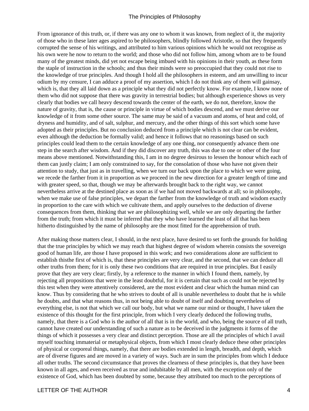From ignorance of this truth, or, if there was any one to whom it was known, from neglect of it, the majority of those who in these later ages aspired to be philosophers, blindly followed Aristotle, so that they frequently corrupted the sense of his writings, and attributed to him various opinions which he would not recognise as his own were he now to return to the world; and those who did not follow him, among whom are to be found many of the greatest minds, did yet not escape being imbued with his opinions in their youth, as these form the staple of instruction in the schools; and thus their minds were so preoccupied that they could not rise to the knowledge of true principles. And though I hold all the philosophers in esteem, and am unwilling to incur odium by my censure, I can adduce a proof of my assertion, which I do not think any of them will gainsay, which is, that they all laid down as a principle what they did not perfectly know. For example, I know none of them who did not suppose that there was gravity in terrestrial bodies; but although experience shows us very clearly that bodies we call heavy descend towards the center of the earth, we do not, therefore, know the nature of gravity, that is, the cause or principle in virtue of which bodies descend, and we must derive our knowledge of it from some other source. The same may be said of a vacuum and atoms, of heat and cold, of dryness and humidity, and of salt, sulphur, and mercury, and the other things of this sort which some have adopted as their principles. But no conclusion deduced from a principle which is not clear can be evident, even although the deduction be formally valid; and hence it follows that no reasonings based on such principles could lead them to the certain knowledge of any one thing, nor consequently advance them one step in the search after wisdom. And if they did discover any truth, this was due to one or other of the four means above mentioned. Notwithstanding this, I am in no degree desirous to lessen the honour which each of them can justly claim; I am only constrained to say, for the consolation of those who have not given their attention to study, that just as in travelling, when we turn our back upon the place to which we were going, we recede the farther from it in proportion as we proceed in the new direction for a greater length of time and with greater speed, so that, though we may be afterwards brought back to the right way, we cannot nevertheless arrive at the destined place as soon as if we had not moved backwards at all; so in philosophy, when we make use of false principles, we depart the farther from the knowledge of truth and wisdom exactly in proportion to the care with which we cultivate them, and apply ourselves to the deduction of diverse consequences from them, thinking that we are philosophizing well, while we are only departing the farther from the truth; from which it must be inferred that they who have learned the least of all that has been hitherto distinguished by the name of philosophy are the most fitted for the apprehension of truth.

After making those matters clear, I should, in the next place, have desired to set forth the grounds for holding that the true principles by which we may reach that highest degree of wisdom wherein consists the sovereign good of human life, are those I have proposed in this work; and two considerations alone are sufficient to establish this the first of which is, that these principles are very clear, and the second, that we can deduce all other truths from them; for it is only these two conditions that are required in true principles. But I easily prove that they are very clear; firstly, by a reference to the manner in which I found them, namely, by rejecting all propositions that were in the least doubtful, for it is certain that such as could not be rejected by this test when they were attentively considered, are the most evident and clear which the human mind can know. Thus by considering that he who strives to doubt of all is unable nevertheless to doubt that he is while he doubts, and that what reasons thus, in not being able to doubt of itself and doubting nevertheless of everything else, is not that which we call our body, but what we name our mind or thought, I have taken the existence of this thought for the first principle, from which I very clearly deduced the following truths, namely, that there is a God who is the author of all that is in the world, and who, being the source of all truth, cannot have created our understanding of such a nature as to be deceived in the judgments it forms of the things of which it possesses a very clear and distinct perception. Those are all the principles of which I avail myself touching immaterial or metaphysical objects, from which I most clearly deduce these other principles of physical or corporeal things, namely, that there are bodies extended in length, breadth, and depth, which are of diverse figures and are moved in a variety of ways. Such are in sum the principles from which I deduce all other truths. The second circumstance that proves the clearness of these principles is, that they have been known in all ages, and even received as true and indubitable by all men, with the exception only of the existence of God, which has been doubted by some, because they attributed too much to the perceptions of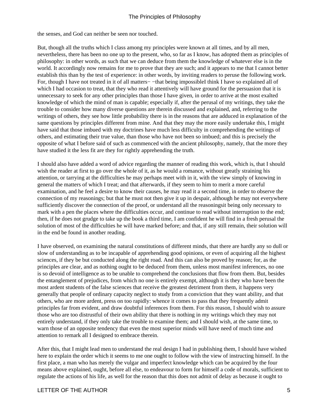the senses, and God can neither be seen nor touched.

But, though all the truths which I class among my principles were known at all times, and by all men, nevertheless, there has been no one up to the present, who, so far as I know, has adopted them as principles of philosophy: in other words, as such that we can deduce from them the knowledge of whatever else is in the world. It accordingly now remains for me to prove that they are such; and it appears to me that I cannot better establish this than by the test of experience: in other words, by inviting readers to peruse the following work. For, though I have not treated in it of all matters− −that being impossibleI think I have so explained all of which I had occasion to treat, that they who read it attentively will have ground for the persuasion that it is unnecessary to seek for any other principles than those I have given, in order to arrive at the most exalted knowledge of which the mind of man is capable; especially if, after the perusal of my writings, they take the trouble to consider how many diverse questions are therein discussed and explained, and, referring to the writings of others, they see how little probability there is in the reasons that are adduced in explanation of the same questions by principles different from mine. And that they may the more easily undertake this, I might have said that those imbued with my doctrines have much less difficulty in comprehending the writings of others, and estimating their true value, than those who have not been so imbued; and this is precisely the opposite of what I before said of such as commenced with the ancient philosophy, namely, that the more they have studied it the less fit are they for rightly apprehending the truth.

I should also have added a word of advice regarding the manner of reading this work, which is, that I should wish the reader at first to go over the whole of it, as he would a romance, without greatly straining his attention, or tarrying at the difficulties he may perhaps meet with in it, with the view simply of knowing in general the matters of which I treat; and that afterwards, if they seem to him to merit a more careful examination, and he feel a desire to know their causes, he may read it a second time, in order to observe the connection of my reasonings; but that he must not then give it up in despair, although he may not everywhere sufficiently discover the connection of the proof, or understand all the reasonings it being only necessary to mark with a pen the places where the difficulties occur, and continue to read without interruption to the end; then, if he does not grudge to take up the book a third time, I am confident he will find in a fresh perusal the solution of most of the difficulties he will have marked before; and that, if any still remain, their solution will in the end be found in another reading.

I have observed, on examining the natural constitutions of different minds, that there are hardly any so dull or slow of understanding as to be incapable of apprehending good opinions, or even of acquiring all the highest sciences, if they be but conducted along the right road. And this can also be proved by reason; for, as the principles are clear, and as nothing ought to be deduced from them, unless most manifest inferences, no one is so devoid of intelligence as to be unable to comprehend the conclusions that flow from them. But, besides the entanglement of prejudices, from which no one is entirely exempt, although it is they who have been the most ardent students of the false sciences that receive the greatest detriment from them, it happens very generally that people of ordinary capacity neglect to study from a conviction that they want ability, and that others, who are more ardent, press on too rapidly: whence it comes to pass that they frequently admit principles far from evident, and draw doubtful inferences from them. For this reason, I should wish to assure those who are too distrustful of their own ability that there is nothing in my writings which they may not entirely understand, if they only take the trouble to examine them; and I should wish, at the same time, to warn those of an opposite tendency that even the most superior minds will have need of much time and attention to remark all I designed to embrace therein.

After this, that I might lead men to understand the real design I had in publishing them, I should have wished here to explain the order which it seems to me one ought to follow with the view of instructing himself. In the first place, a man who has merely the vulgar and imperfect knowledge which can be acquired by the four means above explained, ought, before all else, to endeavour to form for himself a code of morals, sufficient to regulate the actions of his life, as well for the reason that this does not admit of delay as because it ought to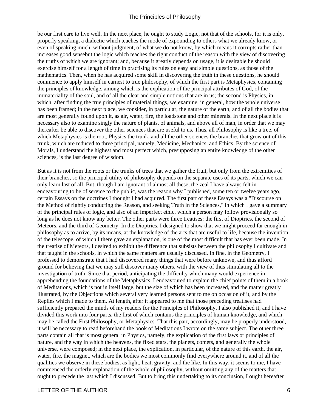be our first care to live well. In the next place, he ought to study Logic, not that of the schools, for it is only, properly speaking, a dialectic which teaches the mode of expounding to others what we already know, or even of speaking much, without judgment, of what we do not know, by which means it corrupts rather than increases good sense but the logic which teaches the right conduct of the reason with the view of discovering the truths of which we are ignorant; and, because it greatly depends on usage, it is desirable he should exercise himself for a length of time in practising its rules on easy and simple questions, as those of the mathematics. Then, when he has acquired some skill in discovering the truth in these questions, he should commence to apply himself in earnest to true philosophy, of which the first part is Metaphysics, containing the principles of knowledge, among which is the explication of the principal attributes of God, of the immateriality of the soul, and of all the clear and simple notions that are in us; the second is Physics, in which, after finding the true principles of material things, we examine, in general, how the whole universe has been framed; in the next place, we consider, in particular, the nature of the earth, and of all the bodies that are most generally found upon it, as air, water, fire, the loadstone and other minerals. In the next place it is necessary also to examine singly the nature of plants, of animals, and above all of man, in order that we may thereafter be able to discover the other sciences that are useful to us. Thus, all Philosophy is like a tree, of which Metaphysics is the root, Physics the trunk, and all the other sciences the branches that grow out of this trunk, which are reduced to three principal, namely, Medicine, Mechanics, and Ethics. By the science of Morals, I understand the highest and most perfect which, presupposing an entire knowledge of the other sciences, is the last degree of wisdom.

But as it is not from the roots or the trunks of trees that we gather the fruit, but only from the extremities of their branches, so the principal utility of philosophy depends on the separate uses of its parts, which we can only learn last of all. But, though I am ignorant of almost all these, the zeal I have always felt in endeavouring to be of service to the public, was the reason why I published, some ten or twelve years ago, certain Essays on the doctrines I thought I had acquired. The first part of these Essays was a "Discourse on the Method of rightly conducting the Reason, and seeking Truth in the Sciences," in which I gave a summary of the principal rules of logic, and also of an imperfect ethic, which a person may follow provisionally so long as he does not know any better. The other parts were three treatises: the first of Dioptrics, the second of Meteors, and the third of Geometry. In the Dioptrics, I designed to show that we might proceed far enough in philosophy as to arrive, by its means, at the knowledge of the arts that are useful to life, because the invention of the telescope, of which I there gave an explanation, is one of the most difficult that has ever been made. In the treatise of Meteors, I desired to exhibit the difference that subsists between the philosophy I cultivate and that taught in the schools, in which the same matters are usually discussed. In fine, in the Geometry, I professed to demonstrate that I had discovered many things that were before unknown, and thus afford ground for believing that we may still discover many others, with the view of thus stimulating all to the investigation of truth. Since that period, anticipating the difficulty which many would experience in apprehending the foundations of the Metaphysics, I endeavoured to explain the chief points of them in a book of Meditations, which is not in itself large, but the size of which has been increased, and the matter greatly illustrated, by the Objections which several very learned persons sent to me on occasion of it, and by the Replies which I made to them. At length, after it appeared to me that those preceding treatises had sufficiently prepared the minds of my readers for the Principles of Philosophy, I also published it; and I have divided this work into four parts, the first of which contains the principles of human knowledge, and which may be called the First Philosophy, or Metaphysics. That this part, accordingly, may be properly understood, it will be necessary to read beforehand the book of Meditations I wrote on the same subject. The other three parts contain all that is most general in Physics, namely, the explication of the first laws or principles of nature, and the way in which the heavens, the fixed stars, the planets, comets, and generally the whole universe, were composed; in the next place, the explication, in particular, of the nature of this earth, the air, water, fire, the magnet, which are the bodies we most commonly find everywhere around it, and of all the qualities we observe in these bodies, as light, heat, gravity, and the like. In this way, it seems to me, I have commenced the orderly explanation of the whole of philosophy, without omitting any of the matters that ought to precede the last which I discussed. But to bring this undertaking to its conclusion, I ought hereafter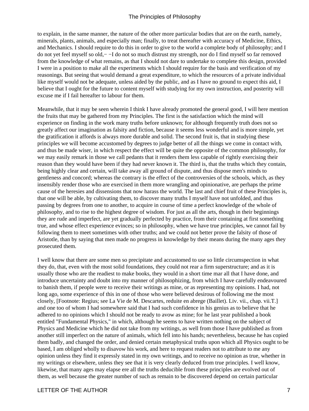to explain, in the same manner, the nature of the other more particular bodies that are on the earth, namely, minerals, plants, animals, and especially man; finally, to treat thereafter with accuracy of Medicine, Ethics, and Mechanics. I should require to do this in order to give to the world a complete body of philosophy; and I do not yet feel myself so old,− −I do not so much distrust my strength, nor do I find myself so far removed from the knowledge of what remains, as that I should not dare to undertake to complete this design, provided I were in a position to make all the experiments which I should require for the basis and verification of my reasonings. But seeing that would demand a great expenditure, to which the resources of a private individual like myself would not be adequate, unless aided by the public, and as I have no ground to expect this aid, I believe that I ought for the future to content myself with studying for my own instruction, and posterity will excuse me if I fail hereafter to labour for them.

Meanwhile, that it may be seen wherein I think I have already promoted the general good, I will here mention the fruits that may be gathered from my Principles. The first is the satisfaction which the mind will experience on finding in the work many truths before unknown; for although frequently truth does not so greatly affect our imagination as falsity and fiction, because it seems less wonderful and is more simple, yet the gratification it affords is always more durable and solid. The second fruit is, that in studying these principles we will become accustomed by degrees to judge better of all the things we come in contact with, and thus be made wiser, in which respect the effect will be quite the opposite of the common philosophy, for we may easily remark in those we call pedants that it renders them less capable of rightly exercising their reason than they would have been if they had never known it. The third is, that the truths which they contain, being highly clear and certain, will take away all ground of dispute, and thus dispose men's minds to gentleness and concord; whereas the contrary is the effect of the controversies of the schools, which, as they insensibly render those who are exercised in them more wrangling and opinionative, are perhaps the prime cause of the heresies and dissensions that now harass the world. The last and chief fruit of these Principles is, that one will be able, by cultivating them, to discover many truths I myself have not unfolded, and thus passing by degrees from one to another, to acquire in course of time a perfect knowledge of the whole of philosophy, and to rise to the highest degree of wisdom. For just as all the arts, though in their beginnings they are rude and imperfect, are yet gradually perfected by practice, from their containing at first something true, and whose effect experience evinces; so in philosophy, when we have true principles, we cannot fail by following them to meet sometimes with other truths; and we could not better prove the falsity of those of Aristotle, than by saying that men made no progress in knowledge by their means during the many ages they prosecuted them.

I well know that there are some men so precipitate and accustomed to use so little circumspection in what they do, that, even with the most solid foundations, they could not rear a firm superstructure; and as it is usually those who are the readiest to make books, they would in a short time mar all that I have done, and introduce uncertainty and doubt into my manner of philosophizing, from which I have carefully endeavoured to banish them, if people were to receive their writings as mine, or as representing my opinions. I had, not long ago, some experience of this in one of those who were believed desirous of following me the most closely, [Footnote: Regius; see La Vie de M. Descartes, reduite en abrege (Baillet). Liv. vii., chap. vii.T.] and one too of whom I had somewhere said that I had such confidence in his genius as to believe that he adhered to no opinions which I should not be ready to avow as mine; for he last year published a book entitled "Fundamental Physics," in which, although he seems to have written nothing on the subject of Physics and Medicine which he did not take from my writings, as well from those I have published as from another still imperfect on the nature of animals, which fell into his hands; nevertheless, because he has copied them badly, and changed the order, and denied certain metaphysical truths upon which all Physics ought to be based, I am obliged wholly to disavow his work, and here to request readers not to attribute to me any opinion unless they find it expressly stated in my own writings, and to receive no opinion as true, whether in my writings or elsewhere, unless they see that it is very clearly deduced from true principles. I well know, likewise, that many ages may elapse ere all the truths deducible from these principles are evolved out of them, as well because the greater number of such as remain to be discovered depend on certain particular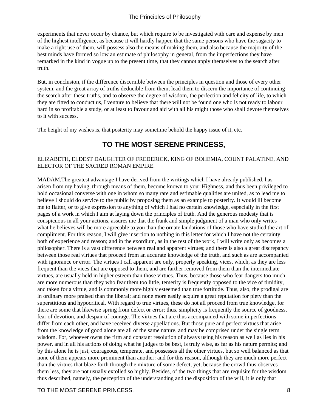<span id="page-9-0"></span>experiments that never occur by chance, but which require to be investigated with care and expense by men of the highest intelligence, as because it will hardly happen that the same persons who have the sagacity to make a right use of them, will possess also the means of making them, and also because the majority of the best minds have formed so low an estimate of philosophy in general, from the imperfections they have remarked in the kind in vogue up to the present time, that they cannot apply themselves to the search after truth.

But, in conclusion, if the difference discernible between the principles in question and those of every other system, and the great array of truths deducible from them, lead them to discern the importance of continuing the search after these truths, and to observe the degree of wisdom, the perfection and felicity of life, to which they are fitted to conduct us, I venture to believe that there will not be found one who is not ready to labour hard in so profitable a study, or at least to favour and aid with all his might those who shall devote themselves to it with success.

The height of my wishes is, that posterity may sometime behold the happy issue of it, etc.

# **TO THE MOST SERENE PRINCESS,**

#### ELIZABETH, ELDEST DAUGHTER OF FREDERICK, KING OF BOHEMIA, COUNT PALATINE, AND ELECTOR OF THE SACRED ROMAN EMPIRE.

MADAM,The greatest advantage I have derived from the writings which I have already published, has arisen from my having, through means of them, become known to your Highness, and thus been privileged to hold occasional converse with one in whom so many rare and estimable qualities are united, as to lead me to believe I should do service to the public by proposing them as an example to posterity. It would ill become me to flatter, or to give expression to anything of which I had no certain knowledge, especially in the first pages of a work in which I aim at laying down the principles of truth. And the generous modesty that is conspicuous in all your actions, assures me that the frank and simple judgment of a man who only writes what he believes will be more agreeable to you than the ornate laudations of those who have studied the art of compliment. For this reason, I will give insertion to nothing in this letter for which I have not the certainty both of experience and reason; and in the exordium, as in the rest of the work, I will write only as becomes a philosopher. There is a vast difference between real and apparent virtues; and there is also a great discrepancy between those real virtues that proceed from an accurate knowledge of the truth, and such as are accompanied with ignorance or error. The virtues I call apparent are only, properly speaking, vices, which, as they are less frequent than the vices that are opposed to them, and are farther removed from them than the intermediate virtues, are usually held in higher esteem than those virtues. Thus, because those who fear dangers too much are more numerous than they who fear them too little, temerity is frequently opposed to the vice of timidity, and taken for a virtue, and is commonly more highly esteemed than true fortitude. Thus, also, the prodigal are in ordinary more praised than the liberal; and none more easily acquire a great reputation for piety than the superstitious and hypocritical. With regard to true virtues, these do not all proceed from true knowledge, for there are some that likewise spring from defect or error; thus, simplicity is frequently the source of goodness, fear of devotion, and despair of courage. The virtues that are thus accompanied with some imperfections differ from each other, and have received diverse appellations. But those pure and perfect virtues that arise from the knowledge of good alone are all of the same nature, and may be comprised under the single term wisdom. For, whoever owns the firm and constant resolution of always using his reason as well as lies in his power, and in all his actions of doing what he judges to be best, is truly wise, as far as his nature permits; and by this alone he is just, courageous, temperate, and possesses all the other virtues, but so well balanced as that none of them appears more prominent than another: and for this reason, although they are much more perfect than the virtues that blaze forth through the mixture of some defect, yet, because the crowd thus observes them less, they are not usually extolled so highly. Besides, of the two things that are requisite for the wisdom thus described, namely, the perception of the understanding and the disposition of the will, it is only that

#### TO THE MOST SERENE PRINCESS. A SAME RESERVE TO THE MOST SERENE PRINCESS, A SAME RESERVE TO A SAME RESERVE TO A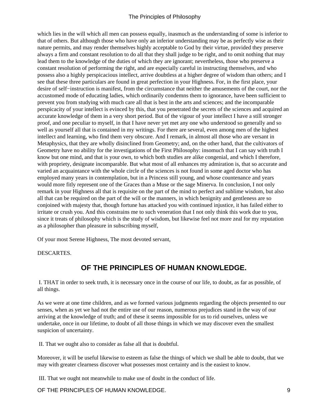<span id="page-10-0"></span>which lies in the will which all men can possess equally, inasmuch as the understanding of some is inferior to that of others. But although those who have only an inferior understanding may be as perfectly wise as their nature permits, and may render themselves highly acceptable to God by their virtue, provided they preserve always a firm and constant resolution to do all that they shall judge to be right, and to omit nothing that may lead them to the knowledge of the duties of which they are ignorant; nevertheless, those who preserve a constant resolution of performing the right, and are especially careful in instructing themselves, and who possess also a highly perspicacious intellect, arrive doubtless at a higher degree of wisdom than others; and I see that these three particulars are found in great perfection in your Highness. For, in the first place, your desire of self−instruction is manifest, from the circumstance that neither the amusements of the court, nor the accustomed mode of educating ladies, which ordinarily condemns them to ignorance, have been sufficient to prevent you from studying with much care all that is best in the arts and sciences; and the incomparable perspicacity of your intellect is evinced by this, that you penetrated the secrets of the sciences and acquired an accurate knowledge of them in a very short period. But of the vigour of your intellect I have a still stronger proof, and one peculiar to myself, in that I have never yet met any one who understood so generally and so well as yourself all that is contained in my writings. For there are several, even among men of the highest intellect and learning, who find them very obscure. And I remark, in almost all those who are versant in Metaphysics, that they are wholly disinclined from Geometry; and, on the other hand, that the cultivators of Geometry have no ability for the investigations of the First Philosophy: insomuch that I can say with truth I know but one mind, and that is your own, to which both studies are alike congenial, and which I therefore, with propriety, designate incomparable. But what most of all enhances my admiration is, that so accurate and varied an acquaintance with the whole circle of the sciences is not found in some aged doctor who has employed many years in contemplation, but in a Princess still young, and whose countenance and years would more fitly represent one of the Graces than a Muse or the sage Minerva. In conclusion, I not only remark in your Highness all that is requisite on the part of the mind to perfect and sublime wisdom, but also all that can be required on the part of the will or the manners, in which benignity and gentleness are so conjoined with majesty that, though fortune has attacked you with continued injustice, it has failed either to irritate or crush you. And this constrains me to such veneration that I not only think this work due to you, since it treats of philosophy which is the study of wisdom, but likewise feel not more zeal for my reputation as a philosopher than pleasure in subscribing myself,

Of your most Serene Highness, The most devoted servant,

DESCARTES.

# **OF THE PRINCIPLES OF HUMAN KNOWLEDGE.**

 I. THAT in order to seek truth, it is necessary once in the course of our life, to doubt, as far as possible, of all things.

As we were at one time children, and as we formed various judgments regarding the objects presented to our senses, when as yet we had not the entire use of our reason, numerous prejudices stand in the way of our arriving at the knowledge of truth; and of these it seems impossible for us to rid ourselves, unless we undertake, once in our lifetime, to doubt of all those things in which we may discover even the smallest suspicion of uncertainty.

II. That we ought also to consider as false all that is doubtful.

Moreover, it will be useful likewise to esteem as false the things of which we shall be able to doubt, that we may with greater clearness discover what possesses most certainty and is the easiest to know.

III. That we ought not meanwhile to make use of doubt in the conduct of life.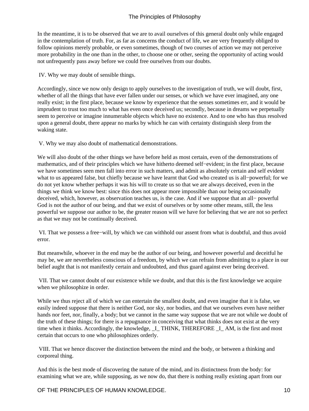In the meantime, it is to be observed that we are to avail ourselves of this general doubt only while engaged in the contemplation of truth. For, as far as concerns the conduct of life, we are very frequently obliged to follow opinions merely probable, or even sometimes, though of two courses of action we may not perceive more probability in the one than in the other, to choose one or other, seeing the opportunity of acting would not unfrequently pass away before we could free ourselves from our doubts.

IV. Why we may doubt of sensible things.

Accordingly, since we now only design to apply ourselves to the investigation of truth, we will doubt, first, whether of all the things that have ever fallen under our senses, or which we have ever imagined, any one really exist; in the first place, because we know by experience that the senses sometimes err, and it would be imprudent to trust too much to what has even once deceived us; secondly, because in dreams we perpetually seem to perceive or imagine innumerable objects which have no existence. And to one who has thus resolved upon a general doubt, there appear no marks by which he can with certainty distinguish sleep from the waking state.

V. Why we may also doubt of mathematical demonstrations.

We will also doubt of the other things we have before held as most certain, even of the demonstrations of mathematics, and of their principles which we have hitherto deemed self−evident; in the first place, because we have sometimes seen men fall into error in such matters, and admit as absolutely certain and self evident what to us appeared false, but chiefly because we have learnt that God who created us is all−powerful; for we do not yet know whether perhaps it was his will to create us so that we are always deceived, even in the things we think we know best: since this does not appear more impossible than our being occasionally deceived, which, however, as observation teaches us, is the case. And if we suppose that an all− powerful God is not the author of our being, and that we exist of ourselves or by some other means, still, the less powerful we suppose our author to be, the greater reason will we have for believing that we are not so perfect as that we may not be continually deceived.

 VI. That we possess a free−will, by which we can withhold our assent from what is doubtful, and thus avoid error.

But meanwhile, whoever in the end may be the author of our being, and however powerful and deceitful he may be, we are nevertheless conscious of a freedom, by which we can refrain from admitting to a place in our belief aught that is not manifestly certain and undoubted, and thus guard against ever being deceived.

 VII. That we cannot doubt of our existence while we doubt, and that this is the first knowledge we acquire when we philosophize in order.

While we thus reject all of which we can entertain the smallest doubt, and even imagine that it is false, we easily indeed suppose that there is neither God, nor sky, nor bodies, and that we ourselves even have neither hands nor feet, nor, finally, a body; but we cannot in the same way suppose that we are not while we doubt of the truth of these things; for there is a repugnance in conceiving that what thinks does not exist at the very time when it thinks. Accordingly, the knowledge, I\_ THINK, THEREFORE I\_AM, is the first and most certain that occurs to one who philosophizes orderly.

 VIII. That we hence discover the distinction between the mind and the body, or between a thinking and corporeal thing.

And this is the best mode of discovering the nature of the mind, and its distinctness from the body: for examining what we are, while supposing, as we now do, that there is nothing really existing apart from our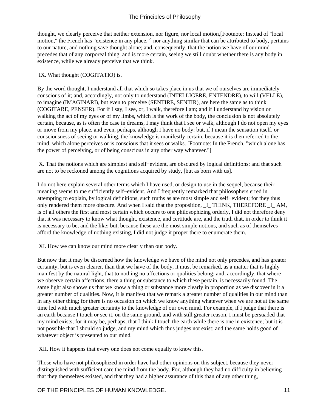thought, we clearly perceive that neither extension, nor figure, nor local motion,[Footnote: Instead of "local motion," the French has "existence in any place."] nor anything similar that can be attributed to body, pertains to our nature, and nothing save thought alone; and, consequently, that the notion we have of our mind precedes that of any corporeal thing, and is more certain, seeing we still doubt whether there is any body in existence, while we already perceive that we think.

#### IX. What thought (COGITATIO) is.

By the word thought, I understand all that which so takes place in us that we of ourselves are immediately conscious of it; and, accordingly, not only to understand (INTELLIGERE, ENTENDRE), to will (VELLE), to imagine (IMAGINARI), but even to perceive (SENTIRE, SENTIR), are here the same as to think (COGITARE, PENSER). For if I say, I see, or, I walk, therefore I am; and if I understand by vision or walking the act of my eyes or of my limbs, which is the work of the body, the conclusion is not absolutely certain, because, as is often the case in dreams, I may think that I see or walk, although I do not open my eyes or move from my place, and even, perhaps, although I have no body: but, if I mean the sensation itself, or consciousness of seeing or walking, the knowledge is manifestly certain, because it is then referred to the mind, which alone perceives or is conscious that it sees or walks. [Footnote: In the French, "which alone has the power of perceiving, or of being conscious in any other way whatever."]

 X. That the notions which are simplest and self−evident, are obscured by logical definitions; and that such are not to be reckoned among the cognitions acquired by study, [but as born with us].

I do not here explain several other terms which I have used, or design to use in the sequel, because their meaning seems to me sufficiently self−evident. And I frequently remarked that philosophers erred in attempting to explain, by logical definitions, such truths as are most simple and self−evident; for they thus only rendered them more obscure. And when I said that the proposition, I\_ THINK, THEREFORE I\_AM, is of all others the first and most certain which occurs to one philosophizing orderly, I did not therefore deny that it was necessary to know what thought, existence, and certitude are, and the truth that, in order to think it is necessary to be, and the like; but, because these are the most simple notions, and such as of themselves afford the knowledge of nothing existing, I did not judge it proper there to enumerate them.

XI. How we can know our mind more clearly than our body.

But now that it may be discerned how the knowledge we have of the mind not only precedes, and has greater certainty, but is even clearer, than that we have of the body, it must be remarked, as a matter that is highly manifest by the natural light, that to nothing no affections or qualities belong; and, accordingly, that where we observe certain affections, there a thing or substance to which these pertain, is necessarily found. The same light also shows us that we know a thing or substance more clearly in proportion as we discover in it a greater number of qualities. Now, it is manifest that we remark a greater number of qualities in our mind than in any other thing; for there is no occasion on which we know anything whatever when we are not at the same time led with much greater certainty to the knowledge of our own mind. For example, if I judge that there is an earth because I touch or see it, on the same ground, and with still greater reason, I must be persuaded that my mind exists; for it may be, perhaps, that I think I touch the earth while there is one in existence; but it is not possible that I should so judge, and my mind which thus judges not exist; and the same holds good of whatever object is presented to our mind.

XII. How it happens that every one does not come equally to know this.

Those who have not philosophized in order have had other opinions on this subject, because they never distinguished with sufficient care the mind from the body. For, although they had no difficulty in believing that they themselves existed, and that they had a higher assurance of this than of any other thing,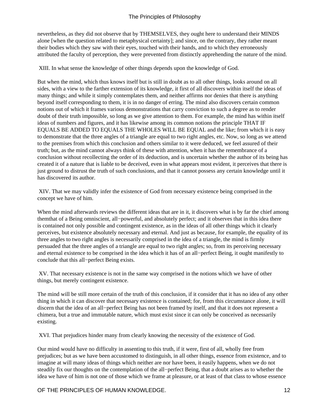nevertheless, as they did not observe that by THEMSELVES, they ought here to understand their MINDS alone [when the question related to metaphysical certainty]; and since, on the contrary, they rather meant their bodies which they saw with their eyes, touched with their hands, and to which they erroneously attributed the faculty of perception, they were prevented from distinctly apprehending the nature of the mind.

XIII. In what sense the knowledge of other things depends upon the knowledge of God.

But when the mind, which thus knows itself but is still in doubt as to all other things, looks around on all sides, with a view to the farther extension of its knowledge, it first of all discovers within itself the ideas of many things; and while it simply contemplates them, and neither affirms nor denies that there is anything beyond itself corresponding to them, it is in no danger of erring. The mind also discovers certain common notions out of which it frames various demonstrations that carry conviction to such a degree as to render doubt of their truth impossible, so long as we give attention to them. For example, the mind has within itself ideas of numbers and figures, and it has likewise among its common notions the principle THAT IF EQUALS BE ADDED TO EQUALS THE WHOLES WILL BE EQUAL and the like; from which it is easy to demonstrate that the three angles of a triangle are equal to two right angles, etc. Now, so long as we attend to the premises from which this conclusion and others similar to it were deduced, we feel assured of their truth; but, as the mind cannot always think of these with attention, when it has the remembrance of a conclusion without recollecting the order of its deduction, and is uncertain whether the author of its being has created it of a nature that is liable to be deceived, even in what appears most evident, it perceives that there is just ground to distrust the truth of such conclusions, and that it cannot possess any certain knowledge until it has discovered its author.

 XIV. That we may validly infer the existence of God from necessary existence being comprised in the concept we have of him.

When the mind afterwards reviews the different ideas that are in it, it discovers what is by far the chief among themthat of a Being omniscient, all−powerful, and absolutely perfect; and it observes that in this idea there is contained not only possible and contingent existence, as in the ideas of all other things which it clearly perceives, but existence absolutely necessary and eternal. And just as because, for example, the equality of its three angles to two right angles is necessarily comprised in the idea of a triangle, the mind is firmly persuaded that the three angles of a triangle are equal to two right angles; so, from its perceiving necessary and eternal existence to be comprised in the idea which it has of an all−perfect Being, it ought manifestly to conclude that this all−perfect Being exists.

 XV. That necessary existence is not in the same way comprised in the notions which we have of other things, but merely contingent existence.

The mind will be still more certain of the truth of this conclusion, if it consider that it has no idea of any other thing in which it can discover that necessary existence is contained; for, from this circumstance alone, it will discern that the idea of an all−perfect Being has not been framed by itself, and that it does not represent a chimera, but a true and immutable nature, which must exist since it can only be conceived as necessarily existing.

XVI. That prejudices hinder many from clearly knowing the necessity of the existence of God.

Our mind would have no difficulty in assenting to this truth, if it were, first of all, wholly free from prejudices; but as we have been accustomed to distinguish, in all other things, essence from existence, and to imagine at will many ideas of things which neither are nor have been, it easily happens, when we do not steadily fix our thoughts on the contemplation of the all−perfect Being, that a doubt arises as to whether the idea we have of him is not one of those which we frame at pleasure, or at least of that class to whose essence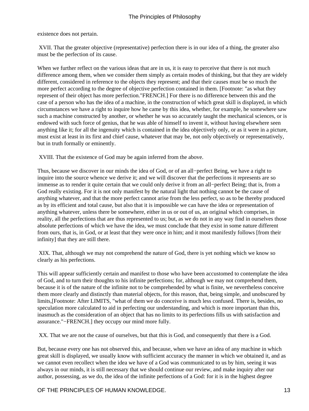existence does not pertain.

 XVII. That the greater objective (representative) perfection there is in our idea of a thing, the greater also must be the perfection of its cause.

When we further reflect on the various ideas that are in us, it is easy to perceive that there is not much difference among them, when we consider them simply as certain modes of thinking, but that they are widely different, considered in reference to the objects they represent; and that their causes must be so much the more perfect according to the degree of objective perfection contained in them. [Footnote: "as what they represent of their object has more perfection."FRENCH.] For there is no difference between this and the case of a person who has the idea of a machine, in the construction of which great skill is displayed, in which circumstances we have a right to inquire how he came by this idea, whether, for example, he somewhere saw such a machine constructed by another, or whether he was so accurately taught the mechanical sciences, or is endowed with such force of genius, that he was able of himself to invent it, without having elsewhere seen anything like it; for all the ingenuity which is contained in the idea objectively only, or as it were in a picture, must exist at least in its first and chief cause, whatever that may be, not only objectively or representatively, but in truth formally or eminently.

XVIII. That the existence of God may be again inferred from the above.

Thus, because we discover in our minds the idea of God, or of an all−perfect Being, we have a right to inquire into the source whence we derive it; and we will discover that the perfections it represents are so immense as to render it quite certain that we could only derive it from an all−perfect Being; that is, from a God really existing. For it is not only manifest by the natural light that nothing cannot be the cause of anything whatever, and that the more perfect cannot arise from the less perfect, so as to be thereby produced as by its efficient and total cause, but also that it is impossible we can have the idea or representation of anything whatever, unless there be somewhere, either in us or out of us, an original which comprises, in reality, all the perfections that are thus represented to us; but, as we do not in any way find in ourselves those absolute perfections of which we have the idea, we must conclude that they exist in some nature different from ours, that is, in God, or at least that they were once in him; and it most manifestly follows [from their infinity] that they are still there.

 XIX. That, although we may not comprehend the nature of God, there is yet nothing which we know so clearly as his perfections.

This will appear sufficiently certain and manifest to those who have been accustomed to contemplate the idea of God, and to turn their thoughts to his infinite perfections; for, although we may not comprehend them, because it is of the nature of the infinite not to be comprehended by what is finite, we nevertheless conceive them more clearly and distinctly than material objects, for this reason, that, being simple, and unobscured by limits,[Footnote: After LIMITS, "what of them we do conceive is much less confused. There is, besides, no speculation more calculated to aid in perfecting our understanding, and which is more important than this, inasmuch as the consideration of an object that has no limits to its perfections fills us with satisfaction and assurance."−FRENCH.] they occupy our mind more fully.

XX. That we are not the cause of ourselves, but that this is God, and consequently that there is a God.

But, because every one has not observed this, and because, when we have an idea of any machine in which great skill is displayed, we usually know with sufficient accuracy the manner in which we obtained it, and as we cannot even recollect when the idea we have of a God was communicated to us by him, seeing it was always in our minds, it is still necessary that we should continue our review, and make inquiry after our author, possessing, as we do, the idea of the infinite perfections of a God: for it is in the highest degree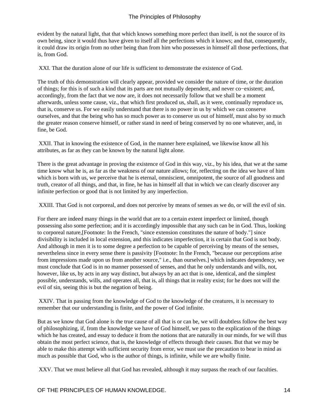evident by the natural light, that that which knows something more perfect than itself, is not the source of its own being, since it would thus have given to itself all the perfections which it knows; and that, consequently, it could draw its origin from no other being than from him who possesses in himself all those perfections, that is, from God.

XXI. That the duration alone of our life is sufficient to demonstrate the existence of God.

The truth of this demonstration will clearly appear, provided we consider the nature of time, or the duration of things; for this is of such a kind that its parts are not mutually dependent, and never co−existent; and, accordingly, from the fact that we now are, it does not necessarily follow that we shall be a moment afterwards, unless some cause, viz., that which first produced us, shall, as it were, continually reproduce us, that is, conserve us. For we easily understand that there is no power in us by which we can conserve ourselves, and that the being who has so much power as to conserve us out of himself, must also by so much the greater reason conserve himself, or rather stand in need of being conserved by no one whatever, and, in fine, be God.

 XXII. That in knowing the existence of God, in the manner here explained, we likewise know all his attributes, as far as they can be known by the natural light alone.

There is the great advantage in proving the existence of God in this way, viz., by his idea, that we at the same time know what he is, as far as the weakness of our nature allows; for, reflecting on the idea we have of him which is born with us, we perceive that he is eternal, omniscient, omnipotent, the source of all goodness and truth, creator of all things, and that, in fine, he has in himself all that in which we can clearly discover any infinite perfection or good that is not limited by any imperfection.

XXIII. That God is not corporeal, and does not perceive by means of senses as we do, or will the evil of sin.

For there are indeed many things in the world that are to a certain extent imperfect or limited, though possessing also some perfection; and it is accordingly impossible that any such can be in God. Thus, looking to corporeal nature,[Footnote: In the French, "since extension constitutes the nature of body."] since divisibility is included in local extension, and this indicates imperfection, it is certain that God is not body. And although in men it is to some degree a perfection to be capable of perceiving by means of the senses, nevertheless since in every sense there is passivity [Footnote: In the French, "because our perceptions arise from impressions made upon us from another source," i.e., than ourselves.] which indicates dependency, we must conclude that God is in no manner possessed of senses, and that he only understands and wills, not, however, like us, by acts in any way distinct, but always by an act that is one, identical, and the simplest possible, understands, wills, and operates all, that is, all things that in reality exist; for he does not will the evil of sin, seeing this is but the negation of being.

 XXIV. That in passing from the knowledge of God to the knowledge of the creatures, it is necessary to remember that our understanding is finite, and the power of God infinite.

But as we know that God alone is the true cause of all that is or can be, we will doubtless follow the best way of philosophizing, if, from the knowledge we have of God himself, we pass to the explication of the things which he has created, and essay to deduce it from the notions that are naturally in our minds, for we will thus obtain the most perfect science, that is, the knowledge of effects through their causes. But that we may be able to make this attempt with sufficient security from error, we must use the precaution to bear in mind as much as possible that God, who is the author of things, is infinite, while we are wholly finite.

XXV. That we must believe all that God has revealed, although it may surpass the reach of our faculties.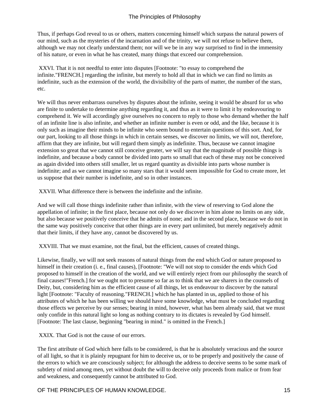Thus, if perhaps God reveal to us or others, matters concerning himself which surpass the natural powers of our mind, such as the mysteries of the incarnation and of the trinity, we will not refuse to believe them, although we may not clearly understand them; nor will we be in any way surprised to find in the immensity of his nature, or even in what he has created, many things that exceed our comprehension.

 XXVI. That it is not needful to enter into disputes [Footnote: "to essay to comprehend the infinite."FRENCH.] regarding the infinite, but merely to hold all that in which we can find no limits as indefinite, such as the extension of the world, the divisibility of the parts of matter, the number of the stars, etc.

We will thus never embarrass ourselves by disputes about the infinite, seeing it would be absurd for us who are finite to undertake to determine anything regarding it, and thus as it were to limit it by endeavouring to comprehend it. We will accordingly give ourselves no concern to reply to those who demand whether the half of an infinite line is also infinite, and whether an infinite number is even or odd, and the like, because it is only such as imagine their minds to be infinite who seem bound to entertain questions of this sort. And, for our part, looking to all those things in which in certain senses, we discover no limits, we will not, therefore, affirm that they are infinite, but will regard them simply as indefinite. Thus, because we cannot imagine extension so great that we cannot still conceive greater, we will say that the magnitude of possible things is indefinite, and because a body cannot be divided into parts so small that each of these may not be conceived as again divided into others still smaller, let us regard quantity as divisible into parts whose number is indefinite; and as we cannot imagine so many stars that it would seem impossible for God to create more, let us suppose that their number is indefinite, and so in other instances.

XXVII. What difference there is between the indefinite and the infinite.

And we will call those things indefinite rather than infinite, with the view of reserving to God alone the appellation of infinite; in the first place, because not only do we discover in him alone no limits on any side, but also because we positively conceive that he admits of none; and in the second place, because we do not in the same way positively conceive that other things are in every part unlimited, but merely negatively admit that their limits, if they have any, cannot be discovered by us.

XXVIII. That we must examine, not the final, but the efficient, causes of created things.

Likewise, finally, we will not seek reasons of natural things from the end which God or nature proposed to himself in their creation (i. e., final causes), [Footnote: "We will not stop to consider the ends which God proposed to himself in the creation of the world, and we will entirely reject from our philosophy the search of final causes!" French.] for we ought not to presume so far as to think that we are sharers in the counsels of Deity, but, considering him as the efficient cause of all things, let us endeavour to discover by the natural light [Footnote: "Faculty of reasoning." FRENCH.] which he has planted in us, applied to those of his attributes of which he has been willing we should have some knowledge, what must be concluded regarding those effects we perceive by our senses; bearing in mind, however, what has been already said, that we must only confide in this natural light so long as nothing contrary to its dictates is revealed by God himself. [Footnote: The last clause, beginning "bearing in mind." is omitted in the French.]

XXIX. That God is not the cause of our errors.

The first attribute of God which here falls to be considered, is that he is absolutely veracious and the source of all light, so that it is plainly repugnant for him to deceive us, or to be properly and positively the cause of the errors to which we are consciously subject; for although the address to deceive seems to be some mark of subtlety of mind among men, yet without doubt the will to deceive only proceeds from malice or from fear and weakness, and consequently cannot be attributed to God.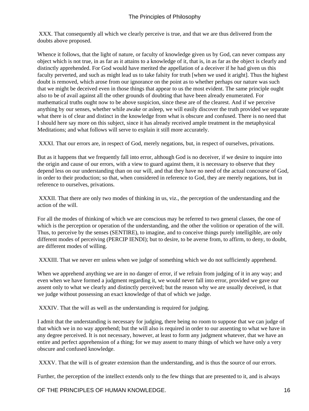XXX. That consequently all which we clearly perceive is true, and that we are thus delivered from the doubts above proposed.

Whence it follows, that the light of nature, or faculty of knowledge given us by God, can never compass any object which is not true, in as far as it attains to a knowledge of it, that is, in as far as the object is clearly and distinctly apprehended. For God would have merited the appellation of a deceiver if he had given us this faculty perverted, and such as might lead us to take falsity for truth [when we used it aright]. Thus the highest doubt is removed, which arose from our ignorance on the point as to whether perhaps our nature was such that we might be deceived even in those things that appear to us the most evident. The same principle ought also to be of avail against all the other grounds of doubting that have been already enumerated. For mathematical truths ought now to be above suspicion, since these are of the clearest. And if we perceive anything by our senses, whether while awake or asleep, we will easily discover the truth provided we separate what there is of clear and distinct in the knowledge from what is obscure and confused. There is no need that I should here say more on this subject, since it has already received ample treatment in the metaphysical Meditations; and what follows will serve to explain it still more accurately.

XXXI. That our errors are, in respect of God, merely negations, but, in respect of ourselves, privations.

But as it happens that we frequently fall into error, although God is no deceiver, if we desire to inquire into the origin and cause of our errors, with a view to guard against them, it is necessary to observe that they depend less on our understanding than on our will, and that they have no need of the actual concourse of God, in order to their production; so that, when considered in reference to God, they are merely negations, but in reference to ourselves, privations.

 XXXII. That there are only two modes of thinking in us, viz., the perception of the understanding and the action of the will.

For all the modes of thinking of which we are conscious may be referred to two general classes, the one of which is the perception or operation of the understanding, and the other the volition or operation of the will. Thus, to perceive by the senses (SENTIRE), to imagine, and to conceive things purely intelligible, are only different modes of perceiving (PERCIP IENDI); but to desire, to be averse from, to affirm, to deny, to doubt, are different modes of willing.

XXXIII. That we never err unless when we judge of something which we do not sufficiently apprehend.

When we apprehend anything we are in no danger of error, if we refrain from judging of it in any way; and even when we have formed a judgment regarding it, we would never fall into error, provided we gave our assent only to what we clearly and distinctly perceived; but the reason why we are usually deceived, is that we judge without possessing an exact knowledge of that of which we judge.

XXXIV. That the will as well as the understanding is required for judging.

I admit that the understanding is necessary for judging, there being no room to suppose that we can judge of that which we in no way apprehend; but the will also is required in order to our assenting to what we have in any degree perceived. It is not necessary, however, at least to form any judgment whatever, that we have an entire and perfect apprehension of a thing; for we may assent to many things of which we have only a very obscure and confused knowledge.

XXXV. That the will is of greater extension than the understanding, and is thus the source of our errors.

Further, the perception of the intellect extends only to the few things that are presented to it, and is always

OF THE PRINCIPLES OF HUMAN KNOWLEDGE. THE STATE RESERVED AND METALLIC MILITARY OF THE PRINCIPLES OF HUMAN KNOWLEDGE.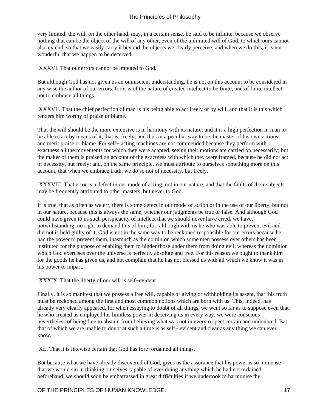very limited: the will, on the other hand, may, in a certain sense, be said to be infinite, because we observe nothing that can be the object of the will of any other, even of the unlimited will of God, to which ours cannot also extend, so that we easily carry it beyond the objects we clearly perceive; and when we do this, it is not wonderful that we happen to be deceived.

XXXVI. That our errors cannot be imputed to God.

But although God has not given us an omniscient understanding, he is not on this account to be considered in any wise the author of our errors, for it is of the nature of created intellect to be finite, and of finite intellect not to embrace all things.

 XXXVII. That the chief perfection of man is his being able to act freely or by will, and that it is this which renders him worthy of praise or blame.

That the will should be the more extensive is in harmony with its nature: and it is a high perfection in man to be able to act by means of it, that is, freely; and thus in a peculiar way to be the master of his own actions, and merit praise or blame. For self− acting machines are not commended because they perform with exactness all the movements for which they were adapted, seeing their motions are carried on necessarily; but the maker of them is praised on account of the exactness with which they were framed, because he did not act of necessity, but freely; and, on the same principle, we must attribute to ourselves something more on this account, that when we embrace truth, we do so not of necessity, but freely.

 XXXVIII. That error is a defect in our mode of acting, not in our nature; and that the faults of their subjects may be frequently attributed to other masters, but never to God.

It is true, that as often as we err, there is some defect in our mode of action or in the use of our liberty, but not in our nature, because this is always the same, whether our judgments be true or false. And although God could have given to us such perspicacity of intellect that we should never have erred, we have, notwithstanding, no right to demand this of him; for, although with us he who was able to prevent evil and did not is held guilty of it, God is not in the same way to be reckoned responsible for our errors because he had the power to prevent them, inasmuch as the dominion which some men possess over others has been instituted for the purpose of enabling them to hinder those under them from doing evil, whereas the dominion which God exercises over the universe is perfectly absolute and free. For this reason we ought to thank him for the goods he has given us, and not complain that he has not blessed us with all which we know it was in his power to impart.

XXXIX. That the liberty of our will is self−evident.

Finally, it is so manifest that we possess a free will, capable of giving or withholding its assent, that this truth must be reckoned among the first and most common notions which are born with us. This, indeed, has already very clearly appeared, for when essaying to doubt of all things, we went so far as to suppose even that he who created us employed his limitless power in deceiving us in every way, we were conscious nevertheless of being free to abstain from believing what was not in every respect certain and undoubted. Bat that of which we are unable to doubt at such a time is as self− evident and clear as any thing we can ever know.

XL. That it is likewise certain that God has fore−ordained all things.

But because what we have already discovered of God, gives us the assurance that his power is so immense that we would sin in thinking ourselves capable of ever doing anything which he had not ordained beforehand, we should soon be embarrassed in great difficulties if we undertook to harmonise the

OF THE PRINCIPLES OF HUMAN KNOWLEDGE. THE STATE RESERVED AND THE PRINCIPLES OF HUMAN KNOWLEDGE.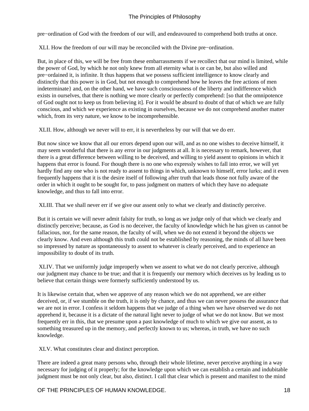pre−ordination of God with the freedom of our will, and endeavoured to comprehend both truths at once.

XLI. How the freedom of our will may be reconciled with the Divine pre−ordination.

But, in place of this, we will be free from these embarrassments if we recollect that our mind is limited, while the power of God, by which he not only knew from all eternity what is or can be, but also willed and pre−ordained it, is infinite. It thus happens that we possess sufficient intelligence to know clearly and distinctly that this power is in God, but not enough to comprehend how he leaves the free actions of men indeterminate} and, on the other hand, we have such consciousness of the liberty and indifference which exists in ourselves, that there is nothing we more clearly or perfectly comprehend: [so that the omnipotence of God ought not to keep us from believing it]. For it would be absurd to doubt of that of which we are fully conscious, and which we experience as existing in ourselves, because we do not comprehend another matter which, from its very nature, we know to be incomprehensible.

XLII. How, although we never will to err, it is nevertheless by our will that we do err.

But now since we know that all our errors depend upon our will, and as no one wishes to deceive himself, it may seem wonderful that there is any error in our judgments at all. It is necessary to remark, however, that there is a great difference between willing to be deceived, and willing to yield assent to opinions in which it happens that error is found. For though there is no one who expressly wishes to fall into error, we will yet hardly find any one who is not ready to assent to things in which, unknown to himself, error lurks; and it even frequently happens that it is the desire itself of following after truth that leads those not fully aware of the order in which it ought to be sought for, to pass judgment on matters of which they have no adequate knowledge, and thus to fall into error.

XLIII. That we shall never err if we give our assent only to what we clearly and distinctly perceive.

But it is certain we will never admit falsity for truth, so long as we judge only of that which we clearly and distinctly perceive; because, as God is no deceiver, the faculty of knowledge which he has given us cannot be fallacious, nor, for the same reason, the faculty of will, when we do not extend it beyond the objects we clearly know. And even although this truth could not be established by reasoning, the minds of all have been so impressed by nature as spontaneously to assent to whatever is clearly perceived, and to experience an impossibility to doubt of its truth.

 XLIV. That we uniformly judge improperly when we assent to what we do not clearly perceive, although our judgment may chance to be true; and that it is frequently our memory which deceives us by leading us to believe that certain things were formerly sufficiently understood by us.

It is likewise certain that, when we approve of any reason which we do not apprehend, we are either deceived, or, if we stumble on the truth, it is only by chance, and thus we can never possess the assurance that we are not in error. I confess it seldom happens that we judge of a thing when we have observed we do not apprehend it, because it is a dictate of the natural light never to judge of what we do not know. But we most frequently err in this, that we presume upon a past knowledge of much to which we give our assent, as to something treasured up in the memory, and perfectly known to us; whereas, in truth, we have no such knowledge.

XLV. What constitutes clear and distinct perception.

There are indeed a great many persons who, through their whole lifetime, never perceive anything in a way necessary for judging of it properly; for the knowledge upon which we can establish a certain and indubitable judgment must be not only clear, but also, distinct. I call that clear which is present and manifest to the mind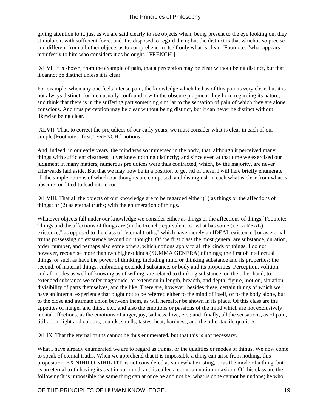giving attention to it, just as we are said clearly to see objects when, being present to the eye looking on, they stimulate it with sufficient force. and it is disposed to regard them; but the distinct is that which is so precise and different from all other objects as to comprehend in itself only what is clear. [Footnote: "what appears manifestly to him who considers it as he ought." FRENCH.]

 XLVI. It is shown, from the example of pain, that a perception may be clear without being distinct, but that it cannot be distinct unless it is clear.

For example, when any one feels intense pain, the knowledge which he has of this pain is very clear, but it is not always distinct; for men usually confound it with the obscure judgment they form regarding its nature, and think that there is in the suffering part something similar to the sensation of pain of which they are alone conscious. And thus perception may be clear without being distinct, but it can never be distinct without likewise being clear.

 XLVII. That, to correct the prejudices of our early years, we must consider what is clear in each of our simple [Footnote: "first." FRENCH.] notions.

And, indeed, in our early years, the mind was so immersed in the body, that, although it perceived many things with sufficient clearness, it yet knew nothing distinctly; and since even at that time we exercised our judgment in many matters, numerous prejudices were thus contracted, which, by the majority, are never afterwards laid aside. But that we may now be in a position to get rid of these, I will here briefly enumerate all the simple notions of which our thoughts are composed, and distinguish in each what is clear from what is obscure, or fitted to lead into error.

 XLVIII. That all the objects of our knowledge are to be regarded either (1) as things or the affections of things: or (2) as eternal truths; with the enumeration of things.

Whatever objects fall under our knowledge we consider either as things or the affections of things,[Footnote: Things and the affections of things are (in the French) equivalent to "what has some (i.e., a REAL) existence," as opposed to the class of "eternal truths," which have merely an IDEAL existence.] or as eternal truths possessing no existence beyond our thought. Of the first class the most general are substance, duration, order, number, and perhaps also some others, which notions apply to all the kinds of things. I do not, however, recognise more than two highest kinds (SUMMA GENERA) of things; the first of intellectual things, or such as have the power of thinking, including mind or thinking substance and its properties; the second, of material things, embracing extended substance, or body and its properties. Perception, volition, and all modes as well of knowing as of willing, are related to thinking substance; on the other hand, to extended substance we refer magnitude, or extension in length, breadth, and depth, figure, motion, situation, divisibility of parts themselves, and the like. There are, however, besides these, certain things of which we have an internal experience that ought not to be referred either to the mind of itself, or to the body alone, but to the close and intimate union between them, as will hereafter be shown in its place. Of this class are the appetites of hunger and thirst, etc., and also the emotions or passions of the mind which are not exclusively mental affections, as the emotions of anger, joy, sadness, love, etc.; and, finally, all the sensations, as of pain, titillation, light and colours, sounds, smells, tastes, heat, hardness, and the other tactile qualities.

XLIX. That the eternal truths cannot be thus enumerated, but that this is not necessary.

What I have already enumerated we are to regard as things, or the qualities or modes of things. We now come to speak of eternal truths. When we apprehend that it is impossible a thing can arise from nothing, this proposition, EX NIHILO NIHIL FIT, is not considered as somewhat existing, or as the mode of a thing, but as an eternal truth having its seat in our mind, and is called a common notion or axiom. Of this class are the following: It is impossible the same thing can at once be and not be; what is done cannot be undone; he who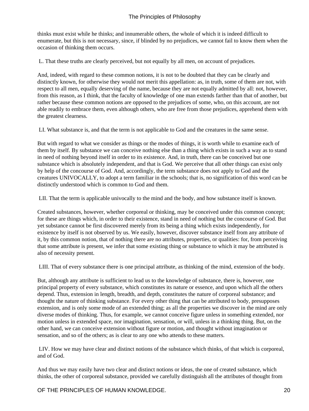thinks must exist while he thinks; and innumerable others, the whole of which it is indeed difficult to enumerate, but this is not necessary, since, if blinded by no prejudices, we cannot fail to know them when the occasion of thinking them occurs.

L. That these truths are clearly perceived, but not equally by all men, on account of prejudices.

And, indeed, with regard to these common notions, it is not to be doubted that they can be clearly and distinctly known, for otherwise they would not merit this appellation: as, in truth, some of them are not, with respect to all men, equally deserving of the name, because they are not equally admitted by all: not, however, from this reason, as I think, that the faculty of knowledge of one man extends farther than that of another, but rather because these common notions are opposed to the prejudices of some, who, on this account, are not able readily to embrace them, even although others, who are free from those prejudices, apprehend them with the greatest clearness.

LI. What substance is, and that the term is not applicable to God and the creatures in the same sense.

But with regard to what we consider as things or the modes of things, it is worth while to examine each of them by itself. By substance we can conceive nothing else than a thing which exists in such a way as to stand in need of nothing beyond itself in order to its existence. And, in truth, there can be conceived but one substance which is absolutely independent, and that is God. We perceive that all other things can exist only by help of the concourse of God. And, accordingly, the term substance does not apply to God and the creatures UNIVOCALLY, to adopt a term familiar in the schools; that is, no signification of this word can be distinctly understood which is common to God and them.

LII. That the term is applicable univocally to the mind and the body, and how substance itself is known.

Created substances, however, whether corporeal or thinking, may be conceived under this common concept; for these are things which, in order to their existence, stand in need of nothing but the concourse of God. But yet substance cannot be first discovered merely from its being a thing which exists independently, for existence by itself is not observed by us. We easily, however, discover substance itself from any attribute of it, by this common notion, that of nothing there are no attributes, properties, or qualities: for, from perceiving that some attribute is present, we infer that some existing thing or substance to which it may be attributed is also of necessity present.

LIII. That of every substance there is one principal attribute, as thinking of the mind, extension of the body.

But, although any attribute is sufficient to lead us to the knowledge of substance, there is, however, one principal property of every substance, which constitutes its nature or essence, and upon which all the others depend. Thus, extension in length, breadth, and depth, constitutes the nature of corporeal substance; and thought the nature of thinking substance. For every other thing that can be attributed to body, presupposes extension, and is only some mode of an extended thing; as all the properties we discover in the mind are only diverse modes of thinking. Thus, for example, we cannot conceive figure unless in something extended, nor motion unless in extended space, nor imagination, sensation, or will, unless in a thinking thing. But, on the other hand, we can conceive extension without figure or motion, and thought without imagination or sensation, and so of the others; as is clear to any one who attends to these matters.

 LIV. How we may have clear and distinct notions of the substance which thinks, of that which is corporeal, and of God.

And thus we may easily have two clear and distinct notions or ideas, the one of created substance, which thinks, the other of corporeal substance, provided we carefully distinguish all the attributes of thought from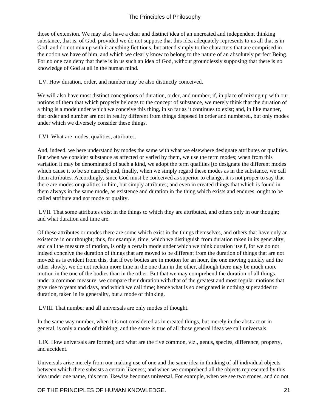those of extension. We may also have a clear and distinct idea of an uncreated and independent thinking substance, that is, of God, provided we do not suppose that this idea adequately represents to us all that is in God, and do not mix up with it anything fictitious, but attend simply to the characters that are comprised in the notion we have of him, and which we clearly know to belong to the nature of an absolutely perfect Being. For no one can deny that there is in us such an idea of God, without groundlessly supposing that there is no knowledge of God at all in the human mind.

LV. How duration, order, and number may be also distinctly conceived.

We will also have most distinct conceptions of duration, order, and number, if, in place of mixing up with our notions of them that which properly belongs to the concept of substance, we merely think that the duration of a thing is a mode under which we conceive this thing, in so far as it continues to exist; and, in like manner, that order and number are not in reality different from things disposed in order and numbered, but only modes under which we diversely consider these things.

LVI. What are modes, qualities, attributes.

And, indeed, we here understand by modes the same with what we elsewhere designate attributes or qualities. But when we consider substance as affected or varied by them, we use the term modes; when from this variation it may be denominated of such a kind, we adopt the term qualities [to designate the different modes which cause it to be so named]; and, finally, when we simply regard these modes as in the substance, we call them attributes. Accordingly, since God must be conceived as superior to change, it is not proper to say that there are modes or qualities in him, but simply attributes; and even in created things that which is found in them always in the same mode, as existence and duration in the thing which exists and endures, ought to be called attribute and not mode or quality.

 LVII. That some attributes exist in the things to which they are attributed, and others only in our thought; and what duration and time are.

Of these attributes or modes there are some which exist in the things themselves, and others that have only an existence in our thought; thus, for example, time, which we distinguish from duration taken in its generality, and call the measure of motion, is only a certain mode under which we think duration itself, for we do not indeed conceive the duration of things that are moved to be different from the duration of things that are not moved: as is evident from this, that if two bodies are in motion for an hour, the one moving quickly and the other slowly, we do not reckon more time in the one than in the other, although there may be much more motion in the one of the bodies than in the other. But that we may comprehend the duration of all things under a common measure, we compare their duration with that of the greatest and most regular motions that give rise to years and days, and which we call time; hence what is so designated is nothing superadded to duration, taken in its generality, but a mode of thinking.

LVIII. That number and all universals are only modes of thought.

In the same way number, when it is not considered as in created things, but merely in the abstract or in general, is only a mode of thinking; and the same is true of all those general ideas we call universals.

 LIX. How universals are formed; and what are the five common, viz., genus, species, difference, property, and accident.

Universals arise merely from our making use of one and the same idea in thinking of all individual objects between which there subsists a certain likeness; and when we comprehend all the objects represented by this idea under one name, this term likewise becomes universal. For example, when we see two stones, and do not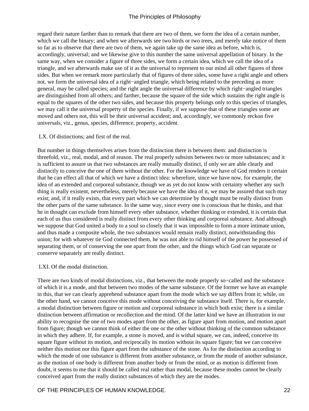regard their nature farther than to remark that there are two of them, we form the idea of a certain number, which we call the binary; and when we afterwards see two birds or two trees, and merely take notice of them so far as to observe that there are two of them, we again take up the same idea as before, which is, accordingly, universal; and we likewise give to this number the same universal appellation of binary. In the same way, when we consider a figure of three sides, we form a certain idea, which we call the idea of a triangle, and we afterwards make use of it as the universal to represent to our mind all other figures of three sides. But when we remark more particularly that of figures of three sides, some have a right angle and others not, we form the universal idea of a right−angled triangle, which being related to the preceding as more general, may be called species; and the right angle the universal difference by which right−angled triangles are distinguished from all others; and farther, because the square of the side which sustains the right angle is equal to the squares of the other two sides, and because this property belongs only to this species of triangles, we may call it the universal property of the species. Finally, if we suppose that of these triangles some are moved and others not, this will be their universal accident; and, accordingly, we commonly reckon five universals, viz., genus, species, difference, property, accident.

#### LX. Of distinctions; and first of the real.

But number in things themselves arises from the distinction there is between them: and distinction is threefold, viz., real, modal, and of reason. The real properly subsists between two or more substances; and it is sufficient to assure us that two substances are really mutually distinct, if only we are able clearly and distinctly to conceive the one of them without the other. For the knowledge we have of God renders it certain that he can effect all that of which we have a distinct idea: wherefore, since we have now, for example, the idea of an extended and corporeal substance, though we as yet do not know with certainty whether any such thing is really existent, nevertheless, merely because we have the idea of it, we may be assured that such may exist; and, if it really exists, that every part which we can determine by thought must be really distinct from the other parts of the same substance. In the same way, since every one is conscious that he thinks, and that he in thought can exclude from himself every other substance, whether thinking or extended, it is certain that each of us thus considered is really distinct from every other thinking and corporeal substance. And although we suppose that God united a body to a soul so closely that it was impossible to form a more intimate union, and thus made a composite whole, the two substances would remain really distinct, notwithstanding this union; for with whatever tie God connected them, he was not able to rid himself of the power he possessed of separating them, or of conserving the one apart from the other, and the things which God can separate or conserve separately are really distinct.

#### LXI. Of the modal distinction.

There are two kinds of modal distinctions, viz., that between the mode properly so−called and the substance of which it is a mode, and that between two modes of the same substance. Of the former we have an example in this, that we can clearly apprehend substance apart from the mode which we say differs from it; while, on the other hand, we cannot conceive this mode without conceiving the substance itself. There is, for example, a modal distinction between figure or motion and corporeal substance in which both exist; there is a similar distinction between affirmation or recollection and the mind. Of the latter kind we have an illustration in our ability to recognise the one of two modes apart from the other, as figure apart from motion, and motion apart from figure; though we cannot think of either the one or the other without thinking of the common substance in which they adhere. If, for example, a stone is moved, and is withal square, we can, indeed, conceive its square figure without its motion, and reciprocally its motion without its square figure; but we can conceive neither this motion nor this figure apart from the substance of the stone. As for the distinction according to which the mode of one substance is different from another substance, or from the mode of another substance, as the motion of one body is different from another body or from the mind, or as motion is different from doubt, it seems to me that it should be called real rather than modal, because these modes cannot be clearly conceived apart from the really distinct substances of which they are the modes.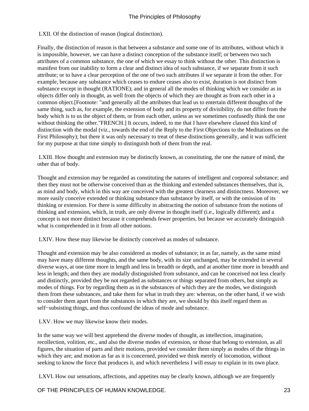LXII. Of the distinction of reason (logical distinction).

Finally, the distinction of reason is that between a substance and some one of its attributes, without which it is impossible, however, we can have a distinct conception of the substance itself; or between two such attributes of a common substance, the one of which we essay to think without the other. This distinction is manifest from our inability to form a clear and distinct idea of such substance, if we separate from it such attribute; or to have a clear perception of the one of two such attributes if we separate it from the other. For example, because any substance which ceases to endure ceases also to exist, duration is not distinct from substance except in thought (RATIONE); and in general all the modes of thinking which we consider as in objects differ only in thought, as well from the objects of which they are thought as from each other in a common object.[Footnote: "and generally all the attributes that lead us to entertain different thoughts of the same thing, such as, for example, the extension of body and its property of divisibility, do not differ from the body which is to us the object of them, or from each other, unless as we sometimes confusedly think the one without thinking the other." FRENCH.] It occurs, indeed, to me that I have elsewhere classed this kind of distinction with the modal (viz., towards the end of the Reply to the First Objections to the Meditations on the First Philosophy); but there it was only necessary to treat of these distinctions generally, and it was sufficient for my purpose at that time simply to distinguish both of them from the real.

 LXIII. How thought and extension may be distinctly known, as constituting, the one the nature of mind, the other that of body.

Thought and extension may be regarded as constituting the natures of intelligent and corporeal substance; and then they must not be otherwise conceived than as the thinking and extended substances themselves, that is, as mind and body, which in this way are conceived with the greatest clearness and distinctness. Moreover, we more easily conceive extended or thinking substance than substance by itself, or with the omission of its thinking or extension. For there is some difficulty in abstracting the notion of substance from the notions of thinking and extension, which, in truth, are only diverse in thought itself (i.e., logically different); and a concept is not more distinct because it comprehends fewer properties, but because we accurately distinguish what is comprehended in it from all other notions.

LXIV. How these may likewise be distinctly conceived as modes of substance.

Thought and extension may be also considered as modes of substance; in as far, namely, as the same mind may have many different thoughts, and the same body, with its size unchanged, may be extended in several diverse ways, at one time more in length and less in breadth or depth, and at another time more in breadth and less in length; and then they are modally distinguished from substance, and can be conceived not less clearly and distinctly, provided they be not regarded as substances or things separated from others, but simply as modes of things. For by regarding them as in the substances of which they are the modes, we distinguish them from these substances, and take them for what in truth they are: whereas, on the other hand, if we wish to consider them apart from the substances in which they are, we should by this itself regard them as self−subsisting things, and thus confound the ideas of mode and substance.

LXV. How we may likewise know their modes.

In the same way we will best apprehend the diverse modes of thought, as intellection, imagination, recollection, volition, etc., and also the diverse modes of extension, or those that belong to extension, as all figures, the situation of parts and their motions, provided we consider them simply as modes of the things in which they are; and motion as far as it is concerned, provided we think merely of locomotion, without seeking to know the force that produces it, and which nevertheless I will essay to explain in its own place.

LXVI. How our sensations, affections, and appetites may be clearly known, although we are frequently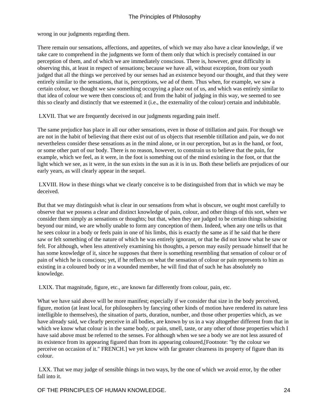wrong in our judgments regarding them.

There remain our sensations, affections, and appetites, of which we may also have a clear knowledge, if we take care to comprehend in the judgments we form of them only that which is precisely contained in our perception of them, and of which we are immediately conscious. There is, however, great difficulty in observing this, at least in respect of sensations; because we have all, without exception, from our youth judged that all the things we perceived by our senses had an existence beyond our thought, and that they were entirely similar to the sensations, that is, perceptions, we ad of them. Thus when, for example, we saw a certain colour, we thought we saw something occupying a place out of us, and which was entirely similar to that idea of colour we were then conscious of; and from the habit of judging in this way, we seemed to see this so clearly and distinctly that we esteemed it (i.e., the externality of the colour) certain and indubitable.

LXVII. That we are frequently deceived in our judgments regarding pain itself.

The same prejudice has place in all our other sensations, even in those of titillation and pain. For though we are not in the habit of believing that there exist out of us objects that resemble titillation and pain, we do not nevertheless consider these sensations as in the mind alone, or in our perception, but as in the hand, or foot, or some other part of our body. There is no reason, however, to constrain us to believe that the pain, for example, which we feel, as it were, in the foot is something out of the mind existing in the foot, or that the light which we see, as it were, in the sun exists in the sun as it is in us. Both these beliefs are prejudices of our early years, as will clearly appear in the sequel.

 LXVIII. How in these things what we clearly conceive is to be distinguished from that in which we may be deceived.

But that we may distinguish what is clear in our sensations from what is obscure, we ought most carefully to observe that we possess a clear and distinct knowledge of pain, colour, and other things of this sort, when we consider them simply as sensations or thoughts; but that, when they are judged to be certain things subsisting beyond our mind, we are wholly unable to form any conception of them. Indeed, when any one tells us that he sees colour in a body or feels pain in one of his limbs, this is exactly the same as if he said that he there saw or felt something of the nature of which he was entirely ignorant, or that he did not know what he saw or felt. For although, when less attentively examining his thoughts, a person may easily persuade himself that he has some knowledge of it, since he supposes that there is something resembling that sensation of colour or of pain of which he is conscious; yet, if he reflects on what the sensation of colour or pain represents to him as existing in a coloured body or in a wounded member, he will find that of such he has absolutely no knowledge.

LXIX. That magnitude, figure, etc., are known far differently from colour, pain, etc.

What we have said above will be more manifest; especially if we consider that size in the body perceived, figure, motion (at least local, for philosophers by fancying other kinds of motion have rendered its nature less intelligible to themselves), the situation of parts, duration, number, and those other properties which, as we have already said, we clearly perceive in all bodies, are known by us in a way altogether different from that in which we know what colour is in the same body, or pain, smell, taste, or any other of those properties which I have said above must be referred to the senses. For although when we see a body we are not less assured of its existence from its appearing figured than from its appearing coloured,[Footnote: "by the colour we perceive on occasion of it." FRENCH.] we yet know with far greater clearness its property of figure than its colour.

 LXX. That we may judge of sensible things in two ways, by the one of which we avoid error, by the other fall into it.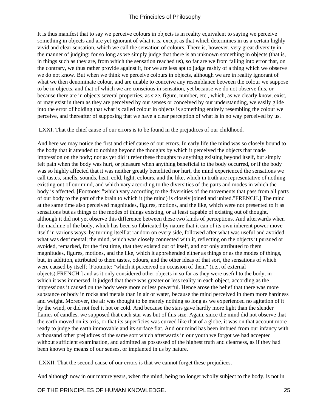It is thus manifest that to say we perceive colours in objects is in reality equivalent to saying we perceive something in objects and are yet ignorant of what it is, except as that which determines in us a certain highly vivid and clear sensation, which we call the sensation of colours. There is, however, very great diversity in the manner of judging: for so long as we simply judge that there is an unknown something in objects (that is, in things such as they are, from which the sensation reached us), so far are we from falling into error that, on the contrary, we thus rather provide against it, for we are less apt to judge rashly of a thing which we observe we do not know. But when we think we perceive colours in objects, although we are in reality ignorant of what we then denominate colour, and are unable to conceive any resemblance between the colour we suppose to be in objects, and that of which we are conscious in sensation, yet because we do not observe this, or because there are in objects several properties, as size, figure, number, etc., which, as we clearly know, exist, or may exist in them as they are perceived by our senses or conceived by our understanding, we easily glide into the error of holding that what is called colour in objects is something entirely resembling the colour we perceive, and thereafter of supposing that we have a clear perception of what is in no way perceived by us.

LXXI. That the chief cause of our errors is to be found in the prejudices of our childhood.

And here we may notice the first and chief cause of our errors. In early life the mind was so closely bound to the body that it attended to nothing beyond the thoughts by which it perceived the objects that made impression on the body; nor as yet did it refer these thoughts to anything existing beyond itself, but simply felt pain when the body was hurt, or pleasure when anything beneficial to the body occurred, or if the body was so highly affected that it was neither greatly benefited nor hurt, the mind experienced the sensations we call tastes, smells, sounds, heat, cold, light, colours, and the like, which in truth are representative of nothing existing out of our mind, and which vary according to the diversities of the parts and modes in which the body is affected. [Footnote: "which vary according to the diversities of the movements that pass from all parts of our body to the part of the brain to which it (the mind) is closely joined and united."FRENCH.] The mind at the same time also perceived magnitudes, figures, motions, and the like, which were not presented to it as sensations but as things or the modes of things existing, or at least capable of existing out of thought, although it did not yet observe this difference between these two kinds of perceptions. And afterwards when the machine of the body, which has been so fabricated by nature that it can of its own inherent power move itself in various ways, by turning itself at random on every side, followed after what was useful and avoided what was detrimental; the mind, which was closely connected with it, reflecting on the objects it pursued or avoided, remarked, for the first time, that they existed out of itself, and not only attributed to them magnitudes, figures, motions, and the like, which it apprehended either as things or as the modes of things, but, in addition, attributed to them tastes, odours, and the other ideas of that sort, the sensations of which were caused by itself; [Footnote: "which it perceived on occasion of them" (i.e., of external objects).FRENCH.] and as it only considered other objects in so far as they were useful to the body, in which it was immersed, it judged that there was greater or less reality in each object, according as the impressions it caused on the body were more or less powerful. Hence arose the belief that there was more substance or body in rocks and metals than in air or water, because the mind perceived in them more hardness and weight. Moreover, the air was thought to be merely nothing so long as we experienced no agitation of it by the wind, or did not feel it hot or cold. And because the stars gave hardly more light than the slender flames of candles, we supposed that each star was but of this size. Again, since the mind did not observe that the earth moved on its axis, or that its superficies was curved like that of a globe, it was on that account more ready to judge the earth immovable and its surface flat. And our mind has been imbued from our infancy with a thousand other prejudices of the same sort which afterwards in our youth we forgot we had accepted without sufficient examination, and admitted as possessed of the highest truth and clearness, as if they had been known by means of our senses, or implanted in us by nature.

LXXII. That the second cause of our errors is that we cannot forget these prejudices.

And although now in our mature years, when the mind, being no longer wholly subject to the body, is not in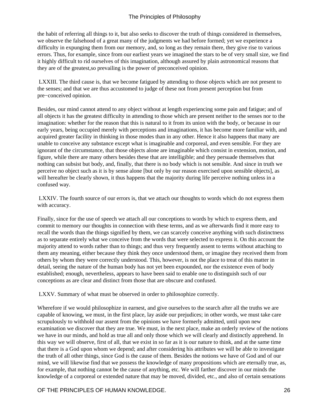the habit of referring all things to it, but also seeks to discover the truth of things considered in themselves, we observe the falsehood of a great many of the judgments we had before formed; yet we experience a difficulty in expunging them from our memory, and, so long as they remain there, they give rise to various errors. Thus, for example, since from our earliest years we imagined the stars to be of very small size, we find it highly difficult to rid ourselves of this imagination, although assured by plain astronomical reasons that they are of the greatest, so prevailing is the power of preconceived opinion.

 LXXIII. The third cause is, that we become fatigued by attending to those objects which are not present to the senses; and that we are thus accustomed to judge of these not from present perception but from pre−conceived opinion.

Besides, our mind cannot attend to any object without at length experiencing some pain and fatigue; and of all objects it has the greatest difficulty in attending to those which are present neither to the senses nor to the imagination: whether for the reason that this is natural to it from its union with the body, or because in our early years, being occupied merely with perceptions and imaginations, it has become more familiar with, and acquired greater facility in thinking in those modes than in any other. Hence it also happens that many are unable to conceive any substance except what is imaginable and corporeal, and even sensible. For they are ignorant of the circumstance, that those objects alone are imaginable which consist in extension, motion, and figure, while there are many others besides these that are intelligible; and they persuade themselves that nothing can subsist but body, and, finally, that there is no body which is not sensible. And since in truth we perceive no object such as it is by sense alone [but only by our reason exercised upon sensible objects], as will hereafter be clearly shown, it thus happens that the majority during life perceive nothing unless in a confused way.

 LXXIV. The fourth source of our errors is, that we attach our thoughts to words which do not express them with accuracy.

Finally, since for the use of speech we attach all our conceptions to words by which to express them, and commit to memory our thoughts in connection with these terms, and as we afterwards find it more easy to recall the words than the things signified by them, we can scarcely conceive anything with such distinctness as to separate entirely what we conceive from the words that were selected to express it. On this account the majority attend to words rather than to things; and thus very frequently assent to terms without attaching to them any meaning, either because they think they once understood them, or imagine they received them from others by whom they were correctly understood. This, however, is not the place to treat of this matter in detail, seeing the nature of the human body has not yet been expounded, nor the existence even of body established; enough, nevertheless, appears to have been said to enable one to distinguish such of our conceptions as are clear and distinct from those that are obscure and confused.

LXXV. Summary of what must be observed in order to philosophize correctly.

Wherefore if we would philosophize in earnest, and give ourselves to the search after all the truths we are capable of knowing, we must, in the first place, lay aside our prejudices; in other words, we must take care scrupulously to withhold our assent from the opinions we have formerly admitted, until upon new examination we discover that they are true. We must, in the next place, make an orderly review of the notions we have in our minds, and hold as true all and only those which we will clearly and distinctly apprehend. In this way we will observe, first of all, that we exist in so far as it is our nature to think, and at the same time that there is a God upon whom we depend; and after considering his attributes we will be able to investigate the truth of all other things, since God is the cause of them. Besides the notions we have of God and of our mind, we will likewise find that we possess the knowledge of many propositions which are eternally true, as, for example, that nothing cannot be the cause of anything, etc. We will farther discover in our minds the knowledge of a corporeal or extended nature that may be moved, divided, etc., and also of certain sensations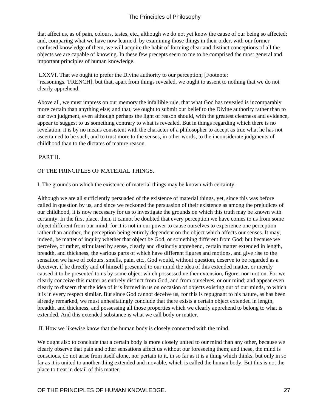that affect us, as of pain, colours, tastes, etc., although we do not yet know the cause of our being so affected; and, comparing what we have now learne'd, by examining those things in their order, with our former confused knowledge of them, we will acquire the habit of forming clear and distinct conceptions of all the objects we are capable of knowing. In these few precepts seem to me to be comprised the most general and important principles of human knowledge.

 LXXVI. That we ought to prefer the Divine authority to our perception; [Footnote: "reasonings."FRENCH]. but that, apart from things revealed, we ought to assent to nothing that we do not clearly apprehend.

Above all, we must impress on our memory the infallible rule, that what God has revealed is incomparably more certain than anything else; and that, we ought to submit our belief to the Divine authority rather than to our own judgment, even although perhaps the light of reason should, with the greatest clearness and evidence, appear to suggest to us something contrary to what is revealed. But in things regarding which there is no revelation, it is by no means consistent with the character of a philosopher to accept as true what he has not ascertained to be such, and to trust more to the senses, in other words, to the inconsiderate judgments of childhood than to the dictates of mature reason.

PART II.

#### OF THE PRINCIPLES OF MATERIAL THINGS.

I. The grounds on which the existence of material things may be known with certainty.

Although we are all sufficiently persuaded of the existence of material things, yet, since this was before called in question by us, and since we reckoned the persuasion of their existence as among the prejudices of our childhood, it is now necessary for us to investigate the grounds on which this truth may be known with certainty. In the first place, then, it cannot be doubted that every perception we have comes to us from some object different from our mind; for it is not in our power to cause ourselves to experience one perception rather than another, the perception being entirely dependent on the object which affects our senses. It may, indeed, be matter of inquiry whether that object be God, or something different from God; but because we perceive, or rather, stimulated by sense, clearly and distinctly apprehend, certain matter extended in length, breadth, and thickness, the various parts of which have different figures and motions, and give rise to the sensation we have of colours, smells, pain, etc., God would, without question, deserve to be regarded as a deceiver, if he directly and of himself presented to our mind the idea of this extended matter, or merely caused it to be presented to us by some object which possessed neither extension, figure, nor motion. For we clearly conceive this matter as entirely distinct from God, and from ourselves, or our mind; and appear even clearly to discern that the idea of it is formed in us on occasion of objects existing out of our minds, to which it is in every respect similar. But since God cannot deceive us, for this is repugnant to his nature, as has been already remarked, we must unhesitatingly conclude that there exists a certain object extended in length, breadth, and thickness, and possessing all those properties which we clearly apprehend to belong to what is extended. And this extended substance is what we call body or matter.

II. How we likewise know that the human body is closely connected with the mind.

We ought also to conclude that a certain body is more closely united to our mind than any other, because we clearly observe that pain and other sensations affect us without our foreseeing them; and these, the mind is conscious, do not arise from itself alone, nor pertain to it, in so far as it is a thing which thinks, but only in so far as it is united to another thing extended and movable, which is called the human body. But this is not the place to treat in detail of this matter.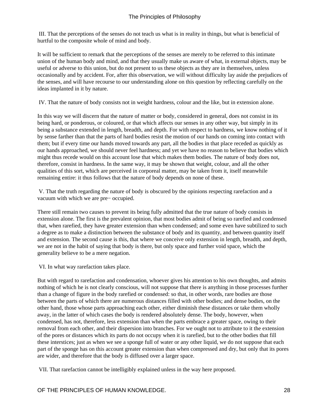III. That the perceptions of the senses do not teach us what is in reality in things, but what is beneficial of hurtful to the composite whole of mind and body.

It will be sufficient to remark that the perceptions of the senses are merely to be referred to this intimate union of the human body and mind, and that they usually make us aware of what, in external objects, may be useful or adverse to this union, but do not present to us these objects as they are in themselves, unless occasionally and by accident. For, after this observation, we will without difficulty lay aside the prejudices of the senses, and will have recourse to our understanding alone on this question by reflecting carefully on the ideas implanted in it by nature.

IV. That the nature of body consists not in weight hardness, colour and the like, but in extension alone.

In this way we will discern that the nature of matter or body, considered in general, does not consist in its being hard, or ponderous, or coloured, or that which affects our senses in any other way, but simply in its being a substance extended in length, breadth, and depth. For with respect to hardness, we know nothing of it by sense farther than that the parts of hard bodies resist the motion of our hands on coming into contact with them; but if every time our hands moved towards any part, all the bodies in that place receded as quickly as our hands approached, we should never feel hardness; and yet we have no reason to believe that bodies which might thus recede would on this account lose that which makes them bodies. The nature of body does not, therefore, consist in hardness. In the same way, it may be shown that weight, colour, and all the other qualities of this sort, which are perceived in corporeal matter, may be taken from it, itself meanwhile remaining entire: it thus follows that the nature of body depends on none of these.

 V. That the truth regarding the nature of body is obscured by the opinions respecting rarefaction and a vacuum with which we are pre− occupied.

There still remain two causes to prevent its being fully admitted that the true nature of body consists in extension alone. The first is the prevalent opinion, that most bodies admit of being so rarefied and condensed that, when rarefied, they have greater extension than when condensed; and some even have subtilized to such a degree as to make a distinction between the substance of body and its quantity, and between quantity itself and extension. The second cause is this, that where we conceive only extension in length, breadth, and depth, we are not in the habit of saying that body is there, but only space and further void space, which the generality believe to be a mere negation.

VI. In what way rarefaction takes place.

But with regard to rarefaction and condensation, whoever gives his attention to his own thoughts, and admits nothing of which he is not clearly conscious, will not suppose that there is anything in those processes further than a change of figure in the body rarefied or condensed: so that, in other words, rare bodies are those between the parts of which there are numerous distances filled with other bodies; and dense bodies, on the other hand, those whose parts approaching each other, either diminish these distances or take them wholly away, in the latter of which cases the body is rendered absolutely dense. The body, however, when condensed, has not, therefore, less extension than when the parts embrace a greater space, owing to their removal from each other, and their dispersion into branches. For we ought not to attribute to it the extension of the pores or distances which its parts do not occupy when it is rarefied, but to the other bodies that fill these interstices; just as when we see a sponge full of water or any other liquid, we do not suppose that each part of the sponge has on this account greater extension than when compressed and dry, but only that its pores are wider, and therefore that the body is diffused over a larger space.

VII. That rarefaction cannot be intelligibly explained unless in the way here proposed.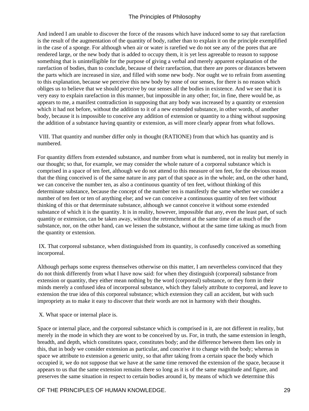And indeed I am unable to discover the force of the reasons which have induced some to say that rarefaction is the result of the augmentation of the quantity of body, rather than to explain it on the principle exemplified in the case of a sponge. For although when air or water is rarefied we do not see any of the pores that are rendered large, or the new body that is added to occupy them, it is yet less agreeable to reason to suppose something that is unintelligible for the purpose of giving a verbal and merely apparent explanation of the rarefaction of bodies, than to conclude, because of their rarefaction, that there are pores or distances between the parts which are increased in size, and filled with some new body. Nor ought we to refrain from assenting to this explanation, because we perceive this new body by none of our senses, for there is no reason which obliges us to believe that we should perceive by our senses all the bodies in existence. And we see that it is very easy to explain rarefaction in this manner, but impossible in any other; for, in fine, there would be, as appears to me, a manifest contradiction in supposing that any body was increased by a quantity or extension which it had not before, without the addition to it of a new extended substance, in other words, of another body, because it is impossible to conceive any addition of extension or quantity to a thing without supposing the addition of a substance having quantity or extension, as will more clearly appear from what follows.

 VIII. That quantity and number differ only in thought (RATIONE) from that which has quantity and is numbered.

For quantity differs from extended substance, and number from what is numbered, not in reality but merely in our thought; so that, for example, we may consider the whole nature of a corporeal substance which is comprised in a space of ten feet, although we do not attend to this measure of ten feet, for the obvious reason that the thing conceived is of the same nature in any part of that space as in the whole; and, on the other hand, we can conceive the number ten, as also a continuous quantity of ten feet, without thinking of this determinate substance, because the concept of the number ten is manifestly the same whether we consider a number of ten feet or ten of anything else; and we can conceive a continuous quantity of ten feet without thinking of this or that determinate substance, although we cannot conceive it without some extended substance of which it is the quantity. It is in reality, however, impossible that any, even the least part, of such quantity or extension, can be taken away, without the retrenchment at the same time of as much of the substance, nor, on the other hand, can we lessen the substance, without at the same time taking as much from the quantity or extension.

 IX. That corporeal substance, when distinguished from its quantity, is confusedly conceived as something incorporeal.

Although perhaps some express themselves otherwise on this matter, I am nevertheless convinced that they do not think differently from what I have now said: for when they distinguish (corporeal) substance from extension or quantity, they either mean nothing by the word (corporeal) substance, or they form in their minds merely a confused idea of incorporeal substance, which they falsely attribute to corporeal, and leave to extension the true idea of this corporeal substance; which extension they call an accident, but with such impropriety as to make it easy to discover that their words are not in harmony with their thoughts.

X. What space or internal place is.

Space or internal place, and the corporeal substance which is comprised in it, are not different in reality, but merely in the mode in which they are wont to be conceived by us. For, in truth, the same extension in length, breadth, and depth, which constitutes space, constitutes body; and the difference between them lies only in this, that in body we consider extension as particular, and conceive it to change with the body; whereas in space we attribute to extension a generic unity, so that after taking from a certain space the body which occupied it, we do not suppose that we have at the same time removed the extension of the space, because it appears to us that the same extension remains there so long as it is of the same magnitude and figure, and preserves the same situation in respect to certain bodies around it, by means of which we determine this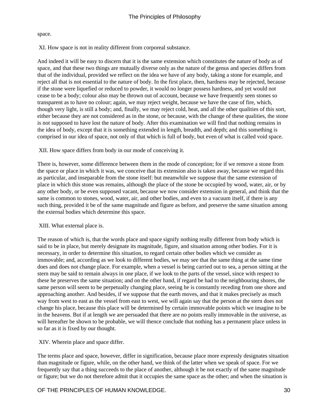#### space.

XI. How space is not in reality different from corporeal substance.

And indeed it will be easy to discern that it is the same extension which constitutes the nature of body as of space, and that these two things are mutually diverse only as the nature of the genus and species differs from that of the individual, provided we reflect on the idea we have of any body, taking a stone for example, and reject all that is not essential to the nature of body. In the first place, then, hardness may be rejected, because if the stone were liquefied or reduced to powder, it would no longer possess hardness, and yet would not cease to be a body; colour also may be thrown out of account, because we have frequently seen stones so transparent as to have no colour; again, we may reject weight, because we have the case of fire, which, though very light, is still a body; and, finally, we may reject cold, heat, and all the other qualities of this sort, either because they are not considered as in the stone, or because, with the change of these qualities, the stone is not supposed to have lost the nature of body. After this examination we will find that nothing remains in the idea of body, except that it is something extended in length, breadth, and depth; and this something is comprised in our idea of space, not only of that which is full of body, but even of what is called void space.

XII. How space differs from body in our mode of conceiving it.

There is, however, some difference between them in the mode of conception; for if we remove a stone from the space or place in which it was, we conceive that its extension also is taken away, because we regard this as particular, and inseparable from the stone itself: but meanwhile we suppose that the same extension of place in which this stone was remains, although the place of the stone be occupied by wood, water, air, or by any other body, or be even supposed vacant, because we now consider extension in general, and think that the same is common to stones, wood, water, air, and other bodies, and even to a vacuum itself, if there is any such thing, provided it be of the same magnitude and figure as before, and preserve the same situation among the external bodies which determine this space.

## XIII. What external place is.

The reason of which is, that the words place and space signify nothing really different from body which is said to be in place, but merely designate its magnitude, figure, and situation among other bodies. For it is necessary, in order to determine this situation, to regard certain other bodies which we consider as immovable; and, according as we look to different bodies, we may see that the same thing at the same time does and does not change place. For example, when a vessel is being carried out to sea, a person sitting at the stern may be said to remain always in one place, if we look to the parts of the vessel, since with respect to these he preserves the same situation; and on the other hand, if regard be had to the neighbouring shores, the same person will seem to be perpetually changing place, seeing he is constantly receding from one shore and approaching another. And besides, if we suppose that the earth moves, and that it makes precisely as much way from west to east as the vessel from east to west, we will again say that the person at the stern does not change his place, because this place will be determined by certain immovable points which we imagine to be in the heavens. But if at length we are persuaded that there are no points really immovable in the universe, as will hereafter be shown to be probable, we will thence conclude that nothing has a permanent place unless in so far as it is fixed by our thought.

XIV. Wherein place and space differ.

The terms place and space, however, differ in signification, because place more expressly designates situation than magnitude or figure, while, on the other hand, we think of the latter when we speak of space. For we frequently say that a thing succeeds to the place of another, although it be not exactly of the same magnitude or figure; but we do not therefore admit that it occupies the same space as the other; and when the situation is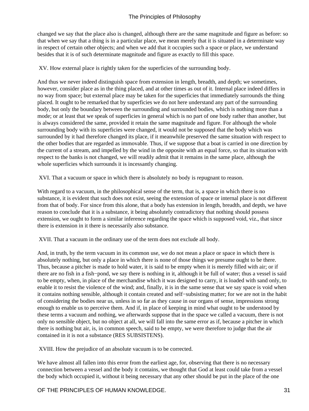changed we say that the place also is changed, although there are the same magnitude and figure as before: so that when we say that a thing is in a particular place, we mean merely that it is situated in a determinate way in respect of certain other objects; and when we add that it occupies such a space or place, we understand besides that it is of such determinate magnitude and figure as exactly to fill this space.

XV. How external place is rightly taken for the superficies of the surrounding body.

And thus we never indeed distinguish space from extension in length, breadth, and depth; we sometimes, however, consider place as in the thing placed, and at other times as out of it. Internal place indeed differs in no way from space; but external place may be taken for the superficies that immediately surrounds the thing placed. It ought to be remarked that by superficies we do not here understand any part of the surrounding body, but only the boundary between the surrounding and surrounded bodies, which is nothing more than a mode; or at least that we speak of superficies in general which is no part of one body rather than another, but is always considered the same, provided it retain the same magnitude and figure. For although the whole surrounding body with its superficies were changed, it would not be supposed that the body which was surrounded by it had therefore changed its place, if it meanwhile preserved the same situation with respect to the other bodies that are regarded as immovable. Thus, if we suppose that a boat is carried in one direction by the current of a stream, and impelled by the wind in the opposite with an equal force, so that its situation with respect to the banks is not changed, we will readily admit that it remains in the same place, although the whole superficies which surrounds it is incessantly changing.

XVI. That a vacuum or space in which there is absolutely no body is repugnant to reason.

With regard to a vacuum, in the philosophical sense of the term, that is, a space in which there is no substance, it is evident that such does not exist, seeing the extension of space or internal place is not different from that of body. For since from this alone, that a body has extension in length, breadth, and depth, we have reason to conclude that it is a substance, it being absolutely contradictory that nothing should possess extension, we ought to form a similar inference regarding the space which is supposed void, viz., that since there is extension in it there is necessarily also substance.

XVII. That a vacuum in the ordinary use of the term does not exclude all body.

And, in truth, by the term vacuum in its common use, we do not mean a place or space in which there is absolutely nothing, but only a place in which there is none of those things we presume ought to be there. Thus, because a pitcher is made to hold water, it is said to be empty when it is merely filled with air; or if there are no fish in a fish−pond, we say there is nothing in it, although it be full of water; thus a vessel is said to be empty, when, in place of the merchandise which it was designed to carry, it is loaded with sand only, to enable it to resist the violence of the wind; and, finally, it is in the same sense that we say space is void when it contains nothing sensible, although it contain created and self−subsisting matter; for we are not in the habit of considering the bodies near us, unless in so far as they cause in our organs of sense, impressions strong enough to enable us to perceive them. And if, in place of keeping in mind what ought to be understood by these terms a vacuum and nothing, we afterwards suppose that in the space we called a vacuum, there is not only no sensible object, but no object at all, we will fall into the same error as if, because a pitcher in which there is nothing but air, is, in common speech, said to be empty, we were therefore to judge that the air contained in it is not a substance (RES SUBSISTENS).

XVIII. How the prejudice of an absolute vacuum is to be corrected.

We have almost all fallen into this error from the earliest age, for, observing that there is no necessary connection between a vessel and the body it contains, we thought that God at least could take from a vessel the body which occupied it, without it being necessary that any other should be put in the place of the one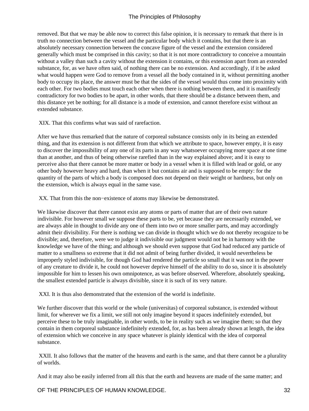removed. But that we may be able now to correct this false opinion, it is necessary to remark that there is in truth no connection between the vessel and the particular body which it contains, but that there is an absolutely necessary connection between the concave figure of the vessel and the extension considered generally which must be comprised in this cavity; so that it is not more contradictory to conceive a mountain without a valley than such a cavity without the extension it contains, or this extension apart from an extended substance, for, as we have often said, of nothing there can be no extension. And accordingly, if it be asked what would happen were God to remove from a vessel all the body contained in it, without permitting another body to occupy its place, the answer must be that the sides of the vessel would thus come into proximity with each other. For two bodies must touch each other when there is nothing between them, and it is manifestly contradictory for two bodies to be apart, in other words, that there should be a distance between them, and this distance yet be nothing; for all distance is a mode of extension, and cannot therefore exist without an extended substance.

XIX. That this confirms what was said of rarefaction.

After we have thus remarked that the nature of corporeal substance consists only in its being an extended thing, and that its extension is not different from that which we attribute to space, however empty, it is easy to discover the impossibility of any one of its parts in any way whatsoever occupying more space at one time than at another, and thus of being otherwise rarefied than in the way explained above; and it is easy to perceive also that there cannot be more matter or body in a vessel when it is filled with lead or gold, or any other body however heavy and hard, than when it but contains air and is supposed to be empty: for the quantity of the parts of which a body is composed does not depend on their weight or hardness, but only on the extension, which is always equal in the same vase.

XX. That from this the non−existence of atoms may likewise be demonstrated.

We likewise discover that there cannot exist any atoms or parts of matter that are of their own nature indivisible. For however small we suppose these parts to be, yet because they are necessarily extended, we are always able in thought to divide any one of them into two or more smaller parts, and may accordingly admit their divisibility. For there is nothing we can divide in thought which we do not thereby recognize to be divisible; and, therefore, were we to judge it indivisible our judgment would not be in harmony with the knowledge we have of the thing; and although we should even suppose that God had reduced any particle of matter to a smallness so extreme that it did not admit of being further divided, it would nevertheless be improperly styled indivisible, for though God had rendered the particle so small that it was not in the power of any creature to divide it, he could not however deprive himself of the ability to do so, since it is absolutely impossible for him to lessen his own omnipotence, as was before observed. Wherefore, absolutely speaking, the smallest extended particle is always divisible, since it is such of its very nature.

XXI. It is thus also demonstrated that the extension of the world is indefinite.

We further discover that this world or the whole (universitas) of corporeal substance, is extended without limit, for wherever we fix a limit, we still not only imagine beyond it spaces indefinitely extended, but perceive these to be truly imaginable, in other words, to be in reality such as we imagine them; so that they contain in them corporeal substance indefinitely extended, for, as has been already shown at length, the idea of extension which we conceive in any space whatever is plainly identical with the idea of corporeal substance.

 XXII. It also follows that the matter of the heavens and earth is the same, and that there cannot be a plurality of worlds.

And it may also be easily inferred from all this that the earth and heavens are made of the same matter; and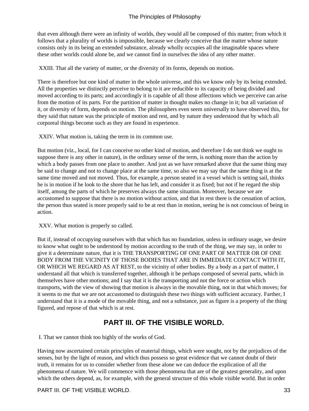<span id="page-34-0"></span>that even although there were an infinity of worlds, they would all be composed of this matter; from which it follows that a plurality of worlds is impossible, because we clearly conceive that the matter whose nature consists only in its being an extended substance, already wholly occupies all the imaginable spaces where these other worlds could alone be, and we cannot find in ourselves the idea of any other matter.

XXIII. That all the variety of matter, or the diversity of its forms, depends on motion.

There is therefore but one kind of matter in the whole universe, and this we know only by its being extended. All the properties we distinctly perceive to belong to it are reducible to its capacity of being divided and moved according to its parts; and accordingly it is capable of all those affections which we perceive can arise from the motion of its parts. For the partition of matter in thought makes no change in it; but all variation of it, or diversity of form, depends on motion. The philosophers even seem universally to have observed this, for they said that nature was the principle of motion and rest, and by nature they understood that by which all corporeal things become such as they are found in experience.

XXIV. What motion is, taking the term in its common use.

But motion (viz., local, for I can conceive no other kind of motion, and therefore I do not think we ought to suppose there is any other in nature), in the ordinary sense of the term, is nothing more than the action by which a body passes from one place to another. And just as we have remarked above that the same thing may be said to change and not to change place at the same time, so also we may say that the same thing is at the same time moved and not moved. Thus, for example, a person seated in a vessel which is setting sail, thinks he is in motion if he look to the shore that he has left, and consider it as fixed; but not if he regard the ship itself, among the parts of which he preserves always the same situation. Moreover, because we are accustomed to suppose that there is no motion without action, and that in rest there is the cessation of action, the person thus seated is more properly said to be at rest than in motion, seeing he is not conscious of being in action.

XXV. What motion is properly so called.

But if, instead of occupying ourselves with that which has no foundation, unless in ordinary usage, we desire to know what ought to be understood by motion according to the truth of the thing, we may say, in order to give it a determinate nature, that it is THE TRANSPORTING OF ONE PART OF MATTER OR OF ONE BODY FROM THE VICINITY OF THOSE BODIES THAT ARE IN IMMEDIATE CONTACT WITH IT, OR WHICH WE REGARD AS AT REST, to the vicinity of other bodies. By a body as a part of matter, I understand all that which is transferred together, although it be perhaps composed of several parts, which in themselves have other motions; and I say that it is the transporting and not the force or action which transports, with the view of showing that motion is always in the movable thing, not in that which moves; for it seems to me that we are not accustomed to distinguish these two things with sufficient accuracy. Farther, I understand that it is a mode of the movable thing, and not a substance, just as figure is a property of the thing figured, and repose of that which is at rest.

# **PART III. OF THE VISIBLE WORLD.**

I. That we cannot think too highly of the works of God.

Having now ascertained certain principles of material things, which were sought, not by the prejudices of the senses, but by the light of reason, and which thus possess so great evidence that we cannot doubt of their truth, it remains for us to consider whether from these alone we can deduce the explication of all the phenomena of nature. We will commence with those phenomena that are of the greatest generality, and upon which the others depend, as, for example, with the general structure of this whole visible world. But in order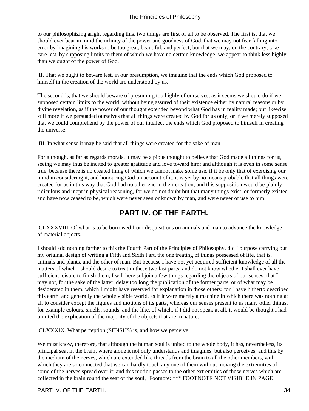<span id="page-35-0"></span>to our philosophizing aright regarding this, two things are first of all to be observed. The first is, that we should ever bear in mind the infinity of the power and goodness of God, that we may not fear falling into error by imagining his works to be too great, beautiful, and perfect, but that we may, on the contrary, take care lest, by supposing limits to them of which we have no certain knowledge, we appear to think less highly than we ought of the power of God.

 II. That we ought to beware lest, in our presumption, we imagine that the ends which God proposed to himself in the creation of the world are understood by us.

The second is, that we should beware of presuming too highly of ourselves, as it seems we should do if we supposed certain limits to the world, without being assured of their existence either by natural reasons or by divine revelation, as if the power of our thought extended beyond what God has in reality made; but likewise still more if we persuaded ourselves that all things were created by God for us only, or if we merely supposed that we could comprehend by the power of our intellect the ends which God proposed to himself in creating the universe.

III. In what sense it may be said that all things were created for the sake of man.

For although, as far as regards morals, it may be a pious thought to believe that God made all things for us, seeing we may thus be incited to greater gratitude and love toward him; and although it is even in some sense true, because there is no created thing of which we cannot make some use, if it be only that of exercising our mind in considering it, and honouring God on account of it, it is yet by no means probable that all things were created for us in this way that God had no other end in their creation; and this supposition would be plainly ridiculous and inept in physical reasoning, for we do not doubt but that many things exist, or formerly existed and have now ceased to be, which were never seen or known by man, and were never of use to him.

# **PART IV. OF THE EARTH.**

 CLXXXVIII. Of what is to be borrowed from disquisitions on animals and man to advance the knowledge of material objects.

I should add nothing farther to this the Fourth Part of the Principles of Philosophy, did I purpose carrying out my original design of writing a Fifth and Sixth Part, the one treating of things possessed of life, that is, animals and plants, and the other of man. But because I have not yet acquired sufficient knowledge of all the matters of which I should desire to treat in these two last parts, and do not know whether I shall ever have sufficient leisure to finish them, I will here subjoin a few things regarding the objects of our senses, that I may not, for the sake of the latter, delay too long the publication of the former parts, or of what may be desiderated in them, which I might have reserved for explanation in those others: for I have hitherto described this earth, and generally the whole visible world, as if it were merely a machine in which there was nothing at all to consider except the figures and motions of its parts, whereas our senses present to us many other things, for example colours, smells, sounds, and the like, of which, if I did not speak at all, it would be thought I had omitted the explication of the majority of the objects that are in nature.

CLXXXIX. What perception (SENSUS) is, and how we perceive.

We must know, therefore, that although the human soul is united to the whole body, it has, nevertheless, its principal seat in the brain, where alone it not only understands and imagines, but also perceives; and this by the medium of the nerves, which are extended like threads from the brain to all the other members, with which they are so connected that we can hardly touch any one of them without moving the extremities of some of the nerves spread over it; and this motion passes to the other extremities of those nerves which are collected in the brain round the seat of the soul, [Footnote: \*\*\* FOOTNOTE NOT VISIBLE IN PAGE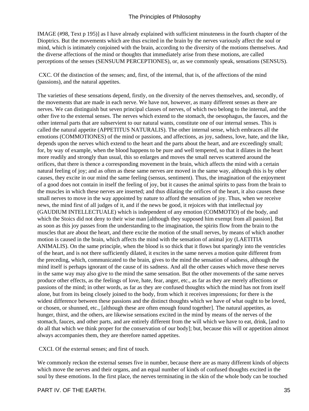IMAGE (#98, Text p 195)] as I have already explained with sufficient minuteness in the fourth chapter of the Dioptrics. But the movements which are thus excited in the brain by the nerves variously affect the soul or mind, which is intimately conjoined with the brain, according to the diversity of the motions themselves. And the diverse affections of the mind or thoughts that immediately arise from these motions, are called perceptions of the senses (SENSUUM PERCEPTIONES), or, as we commonly speak, sensations (SENSUS).

 CXC. Of the distinction of the senses; and, first, of the internal, that is, of the affections of the mind (passions), and the natural appetites.

The varieties of these sensations depend, firstly, on the diversity of the nerves themselves, and, secondly, of the movements that are made in each nerve. We have not, however, as many different senses as there are nerves. We can distinguish but seven principal classes of nerves, of which two belong to the internal, and the other five to the external senses. The nerves which extend to the stomach, the oesophagus, the fauces, and the other internal parts that are subservient to our natural wants, constitute one of our internal senses. This is called the natural appetite (APPETITUS NATURALIS). The other internal sense, which embraces all the emotions (COMMOTIONES) of the mind or passions, and affections, as joy, sadness, love, hate, and the like, depends upon the nerves which extend to the heart and the parts about the heart, and are exceedingly small; for, by way of example, when the blood happens to be pure and well tempered, so that it dilates in the heart more readily and strongly than usual, this so enlarges and moves the small nerves scattered around the orifices, that there is thence a corresponding movement in the brain, which affects the mind with a certain natural feeling of joy; and as often as these same nerves are moved in the same way, although this is by other causes, they excite in our mind the same feeling (sensus, sentiment). Thus, the imagination of the enjoyment of a good does not contain in itself the feeling of joy, but it causes the animal spirits to pass from the brain to the muscles in which these nerves are inserted; and thus dilating the orifices of the heart, it also causes these small nerves to move in the way appointed by nature to afford the sensation of joy. Thus, when we receive news, the mind first of all judges of it, and if the news be good, it rejoices with that intellectual joy (GAUDIUM INTELLECTUALE) which is independent of any emotion (COMMOTIO) of the body, and which the Stoics did not deny to their wise man [although they supposed him exempt from all passion]. But as soon as this joy passes from the understanding to the imagination, the spirits flow from the brain to the muscles that are about the heart, and there excite the motion of the small nerves, by means of which another motion is caused in the brain, which affects the mind with the sensation of animal joy (LAETITIA ANIMALIS). On the same principle, when the blood is so thick that it flows but sparingly into the ventricles of the heart, and is not there sufficiently dilated, it excites in the same nerves a motion quite different from the preceding, which, communicated to the brain, gives to the mind the sensation of sadness, although the mind itself is perhaps ignorant of the cause of its sadness. And all the other causes which move these nerves in the same way may also give to the mind the same sensation. But the other movements of the same nerves produce other effects, as the feelings of love, hate, fear, anger, etc., as far as they are merely affections or passions of the mind; in other words, as far as they are confused thoughts which the mind has not from itself alone, but from its being closely joined to the body, from which it receives impressions; for there is the widest difference between these passions and the distinct thoughts which we have of what ought to be loved, or chosen, or shunned, etc., [although these are often enough found together]. The natural appetites, as hunger, thirst, and the others, are likewise sensations excited in the mind by means of the nerves of the stomach, fauces, and other parts, and are entirely different from the will which we have to eat, drink, [and to do all that which we think proper for the conservation of our body]; but, because this will or appetition almost always accompanies them, they are therefore named appetites.

CXCI. Of the external senses; and first of touch.

We commonly reckon the external senses five in number, because there are as many different kinds of objects which move the nerves and their organs, and an equal number of kinds of confused thoughts excited in the soul by these emotions. In the first place, the nerves terminating in the skin of the whole body can be touched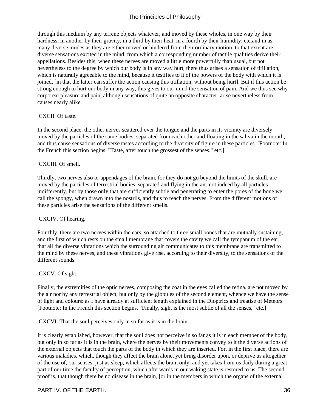through this medium by any terrene objects whatever, and moved by these wholes, in one way by their hardness, in another by their gravity, in a third by their heat, in a fourth by their humidity, etc. and in as many diverse modes as they are either moved or hindered from their ordinary motion, to that extent are diverse sensations excited in the mind, from which a corresponding number of tactile qualities derive their appellations. Besides this, when these nerves are moved a little more powerfully than usual, but not nevertheless to the degree by which our body is in any way hurt, there thus arises a sensation of titillation, which is naturally agreeable to the mind, because it testifies to it of the powers of the body with which it is joined, [in that the latter can suffer the action causing this titillation, without being hurt]. But if this action be strong enough to hurt our body in any way, this gives to our mind the sensation of pain. And we thus see why corporeal pleasure and pain, although sensations of quite an opposite character, arise nevertheless from causes nearly alike.

#### CXCII. Of taste.

In the second place, the other nerves scattered over the tongue and the parts in its vicinity are diversely moved by the particles of the same bodies, separated from each other and floating in the saliva in the mouth, and thus cause sensations of diverse tastes according to the diversity of figure in these particles. [Footnote: In the French this section begins, "Taste, after touch the grossest of the senses," etc.]

#### CXCIII. Of smell.

Thirdly, two nerves also or appendages of the brain, for they do not go beyond the limits of the skull, are moved by the particles of terrestrial bodies, separated and flying in the air, not indeed by all particles indifferently, but by those only that are sufficiently subtle and penetrating to enter the pores of the bone we call the spongy, when drawn into the nostrils, and thus to reach the nerves. From the different motions of these particles arise the sensations of the different smells.

#### CXCIV. Of hearing.

Fourthly, there are two nerves within the ears, so attached to three small bones that are mutually sustaining, and the first of which rests on the small membrane that covers the cavity we call the tympanum of the ear, that all the diverse vibrations which the surrounding air communicates to this membrane are transmitted to the mind by these nerves, and these vibrations give rise, according to their diversity, to the sensations of the different sounds.

#### CXCV. Of sight.

Finally, the extremities of the optic nerves, composing the coat in the eyes called the retina, are not moved by the air nor by any terrestrial object, but only by the globules of the second element, whence we have the sense of light and colours: as I have already at sufficient length explained in the Dioptrics and treatise of Meteors. [Footnote: In the French this section begins, "Finally, sight is the most subtle of all the senses," etc.]

CXCVI. That the soul perceives only in so far as it is in the brain.

It is clearly established, however, that the soul does not perceive in so far as it is in each member of the body, but only in so far as it is in the brain, where the nerves by their movements convey to it the diverse actions of the external objects that touch the parts of the body in which they are inserted. For, in the first place, there are various maladies, which, though they affect the brain alone, yet bring disorder upon, or deprive us altogether of the use of, our senses, just as sleep, which affects the brain only, and yet takes from us daily during a great part of our time the faculty of perception, which afterwards in our waking state is restored to us. The second proof is, that though there be no disease in the brain, [or in the members in which the organs of the external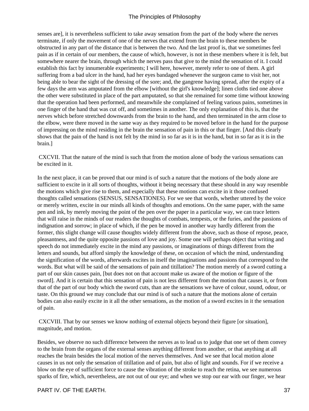senses are], it is nevertheless sufficient to take away sensation from the part of the body where the nerves terminate, if only the movement of one of the nerves that extend from the brain to these members be obstructed in any part of the distance that is between the two. And the last proof is, that we sometimes feel pain as if in certain of our members, the cause of which, however, is not in these members where it is felt, but somewhere nearer the brain, through which the nerves pass that give to the mind the sensation of it. I could establish this fact by innumerable experiments; I will here, however, merely refer to one of them. A girl suffering from a bad ulcer in the hand, had her eyes bandaged whenever the surgeon came to visit her, not being able to bear the sight of the dressing of the sore; and, the gangrene having spread, after the expiry of a few days the arm was amputated from the elbow [without the girl's knowledge]; linen cloths tied one above the other were substituted in place of the part amputated, so that she remained for some time without knowing that the operation had been performed, and meanwhile she complained of feeling various pains, sometimes in one finger of the hand that was cut off, and sometimes in another. The only explanation of this is, that the nerves which before stretched downwards from the brain to the hand, and then terminated in the arm close to the elbow, were there moved in the same way as they required to be moved before in the hand for the purpose of impressing on the mind residing in the brain the sensation of pain in this or that finger. [And this clearly shows that the pain of the hand is not felt by the mind in so far as it is in the hand, but in so far as it is in the brain.]

 CXCVII. That the nature of the mind is such that from the motion alone of body the various sensations can be excited in it.

In the next place, it can be proved that our mind is of such a nature that the motions of the body alone are sufficient to excite in it all sorts of thoughts, without it being necessary that these should in any way resemble the motions which give rise to them, and especially that these motions can excite in it those confused thoughts called sensations (SENSUS, SENSATIONES). For we see that words, whether uttered by the voice or merely written, excite in our minds all kinds of thoughts and emotions. On the same paper, with the same pen and ink, by merely moving the point of the pen over the paper in a particular way, we can trace letters that will raise in the minds of our readers the thoughts of combats, tempests, or the furies, and the passions of indignation and sorrow; in place of which, if the pen be moved in another way hardly different from the former, this slight change will cause thoughts widely different from the above, such as those of repose, peace, pleasantness, and the quite opposite passions of love and joy. Some one will perhaps object that writing and speech do not immediately excite in the mind any passions, or imaginations of things different from the letters and sounds, but afford simply the knowledge of these, on occasion of which the mind, understanding the signification of the words, afterwards excites in itself the imaginations and passions that correspond to the words. But what will be said of the sensations of pain and titillation? The motion merely of a sword cutting a part of our skin causes pain, [but does not on that account make us aware of the motion or figure of the sword]. And it is certain that this sensation of pain is not less different from the motion that causes it, or from that of the part of our body which the sword cuts, than are the sensations we have of colour, sound, odour, or taste. On this ground we may conclude that our mind is of such a nature that the motions alone of certain bodies can also easily excite in it all the other sensations, as the motion of a sword excites in it the sensation of pain.

 CXCVIII. That by our senses we know nothing of external objects beyond their figure [or situation], magnitude, and motion.

Besides, we observe no such difference between the nerves as to lead us to judge that one set of them convey to the brain from the organs of the external senses anything different from another, or that anything at all reaches the brain besides the local motion of the nerves themselves. And we see that local motion alone causes in us not only the sensation of titillation and of pain, but also of light and sounds. For if we receive a blow on the eye of sufficient force to cause the vibration of the stroke to reach the retina, we see numerous sparks of fire, which, nevertheless, are not out of our eye; and when we stop our ear with our finger, we hear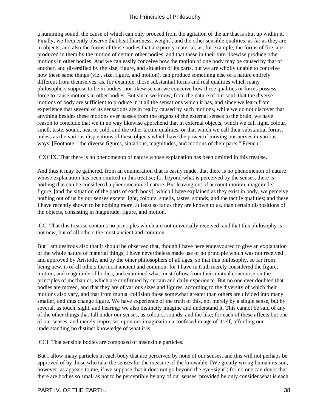a humming sound, the cause of which can only proceed from the agitation of the air that is shut up within it. Finally, we frequently observe that heat [hardness, weight], and the other sensible qualities, as far as they are in objects, and also the forms of those bodies that are purely material, as, for example, the forms of fire, are produced in them by the motion of certain other bodies, and that these in their turn likewise produce other motions in other bodies. And we can easily conceive how the motion of one body may be caused by that of another, and diversified by the size, figure, and situation of its parts, but we are wholly unable to conceive how these same things (viz., size, figure, and motion), can produce something else of a nature entirely different from themselves, as, for example, those substantial forms and real qualities which many philosophers suppose to be in bodies; nor likewise can we conceive how these qualities or forms possess force to cause motions in other bodies. But since we know, from the nature of our soul, that the diverse motions of body are sufficient to produce in it all the sensations which it has, and since we learn from experience that several of its sensations are in reality caused by such motions, while we do not discover that anything besides these motions ever passes from the organs of the external senses to the brain, we have reason to conclude that we in no way likewise apprehend that in external objects, which we call light, colour, smell, taste, sound, heat or cold, and the other tactile qualities, or that which we call their substantial forms, unless as the various dispositions of these objects which have the power of moving our nerves in various ways. [Footnote: "the diverse figures, situations, magnitudes, and motions of their parts." French.]

CXCIX. That there is no phenomenon of nature whose explanation has been omitted in this treatise.

And thus it may be gathered, from an enumeration that is easily made, that there is no phenomenon of nature whose explanation has been omitted in this treatise; for beyond what is perceived by the senses, there is nothing that can be considered a phenomenon of nature. But leaving out of account motion, magnitude, figure, [and the situation of the parts of each body], which I have explained as they exist in body, we perceive nothing out of us by our senses except light, colours, smells, tastes, sounds, and the tactile qualities; and these I have recently shown to be nothing more, at least so far as they are known to us, than certain dispositions of the objects, consisting in magnitude, figure, and motion.

 CC. That this treatise contains no principles which are not universally received; and that this philosophy is not new, but of all others the most ancient and common.

But I am desirous also that it should be observed that, though I have here endeavoured to give an explanation of the whole nature of material things, I have nevertheless made use of no principle which was not received and approved by Aristotle, and by the other philosophers of all ages; so that this philosophy, so far from being new, is of all others the most ancient and common: for I have in truth merely considered the figure, motion, and magnitude of bodies, and examined what must follow from their mutual concourse on the principles of mechanics, which are confirmed by certain and daily experience. But no one ever doubted that bodies are moved, and that they are of various sizes and figures, according to the diversity of which their motions also vary, and that from mutual collision those somewhat greater than others are divided into many smaller, and thus change figure. We have experience of the truth of this, not merely by a single sense, but by several, as touch, sight, and hearing: we also distinctly imagine and understand it. This cannot be said of any of the other things that fall under our senses, as colours, sounds, and the like; for each of these affects but one of our senses, and merely impresses upon our imagination a confused image of itself, affording our understanding no distinct knowledge of what it is.

CCI. That sensible bodies are composed of insensible particles.

But I allow many particles in each body that are perceived by none of our senses, and this will not perhaps be approved of by those who take the senses for the measure of the knowable. [We greatly wrong human reason, however, as appears to me, if we suppose that it does not go beyond the eye−sight]; for no one can doubt that there are bodies so small as not to be perceptible by any of our senses, provided he only consider what is each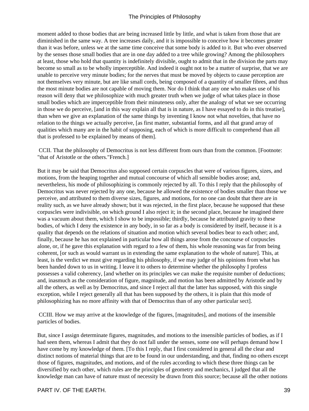moment added to those bodies that are being increased little by little, and what is taken from those that are diminished in the same way. A tree increases daily, and it is impossible to conceive how it becomes greater than it was before, unless we at the same time conceive that some body is added to it. But who ever observed by the senses those small bodies that are in one day added to a tree while growing? Among the philosophers at least, those who hold that quantity is indefinitely divisible, ought to admit that in the division the parts may become so small as to be wholly imperceptible. And indeed it ought not to be a matter of surprise, that we are unable to perceive very minute bodies; for the nerves that must be moved by objects to cause perception are not themselves very minute, but are like small cords, being composed of a quantity of smaller fibres, and thus the most minute bodies are not capable of moving them. Nor do I think that any one who makes use of his reason will deny that we philosophize with much greater truth when we judge of what takes place in those small bodies which are imperceptible from their minuteness only, after the analogy of what we see occurring in those we do perceive, [and in this way explain all that is in nature, as I have essayed to do in this treatise], than when we give an explanation of the same things by inventing I know not what novelties, that have no relation to the things we actually perceive, [as first matter, substantial forms, and all that grand array of qualities which many are in the habit of supposing, each of which is more difficult to comprehend than all that is professed to be explained by means of them].

 CCII. That the philosophy of Democritus is not less different from ours than from the common. [Footnote: "that of Aristotle or the others." French.]

But it may be said that Democritus also supposed certain corpuscles that were of various figures, sizes, and motions, from the heaping together and mutual concourse of which all sensible bodies arose; and, nevertheless, his mode of philosophizing is commonly rejected by all. To this I reply that the philosophy of Democritus was never rejected by any one, because he allowed the existence of bodies smaller than those we perceive, and attributed to them diverse sizes, figures, and motions, for no one can doubt that there are in reality such, as we have already shown; but it was rejected, in the first place, because he supposed that these corpuscles were indivisible, on which ground I also reject it; in the second place, because he imagined there was a vacuum about them, which I show to be impossible; thirdly, because he attributed gravity to these bodies, of which I deny the existence in any body, in so far as a body is considered by itself, because it is a quality that depends on the relations of situation and motion which several bodies bear to each other; and, finally, because he has not explained in particular how all things arose from the concourse of corpuscles alone, or, if he gave this explanation with regard to a few of them, his whole reasoning was far from being coherent, [or such as would warrant us in extending the same explanation to the whole of nature]. This, at least, is the verdict we must give regarding his philosophy, if we may judge of his opinions from what has been handed down to us in writing. I leave it to others to determine whether the philosophy I profess possesses a valid coherency, [and whether on its principles we can make the requisite number of deductions; and, inasmuch as the consideration of figure, magnitude, and motion has been admitted by Aristotle and by all the others, as well as by Democritus, and since I reject all that the latter has supposed, with this single exception, while I reject generally all that has been supposed by the others, it is plain that this mode of philosophizing has no more affinity with that of Democritus than of any other particular sect].

 CCIII. How we may arrive at the knowledge of the figures, [magnitudes], and motions of the insensible particles of bodies.

But, since I assign determinate figures, magnitudes, and motions to the insensible particles of bodies, as if I had seen them, whereas I admit that they do not fall under the senses, some one will perhaps demand how I have come by my knowledge of them. [To this I reply, that I first considered in general all the clear and distinct notions of material things that are to be found in our understanding, and that, finding no others except those of figures, magnitudes, and motions, and of the rules according to which these three things can be diversified by each other, which rules are the principles of geometry and mechanics, I judged that all the knowledge man can have of nature must of necessity be drawn from this source; because all the other notions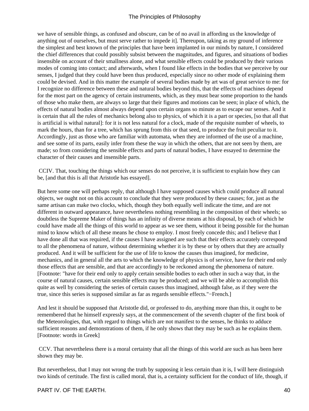we have of sensible things, as confused and obscure, can be of no avail in affording us the knowledge of anything out of ourselves, but must serve rather to impede it]. Thereupon, taking as my ground of inference the simplest and best known of the principles that have been implanted in our minds by nature, I considered the chief differences that could possibly subsist between the magnitudes, and figures, and situations of bodies insensible on account of their smallness alone, and what sensible effects could be produced by their various modes of coming into contact; and afterwards, when I found like effects in the bodies that we perceive by our senses, I judged that they could have been thus produced, especially since no other mode of explaining them could be devised. And in this matter the example of several bodies made by art was of great service to me: for I recognize no difference between these and natural bodies beyond this, that the effects of machines depend for the most part on the agency of certain instruments, which, as they must bear some proportion to the hands of those who make them, are always so large that their figures and motions can be seen; in place of which, the effects of natural bodies almost always depend upon certain organs so minute as to escape our senses. And it is certain that all the rules of mechanics belong also to physics, of which it is a part or species, [so that all that is artificial is withal natural]: for it is not less natural for a clock, made of the requisite number of wheels, to mark the hours, than for a tree, which has sprung from this or that seed, to produce the fruit peculiar to it. Accordingly, just as those who are familiar with automata, when they are informed of the use of a machine, and see some of its parts, easily infer from these the way in which the others, that are not seen by them, are made; so from considering the sensible effects and parts of natural bodies, I have essayed to determine the character of their causes and insensible parts.

 CCIV. That, touching the things which our senses do not perceive, it is sufficient to explain how they can be, [and that this is all that Aristotle has essayed].

But here some one will perhaps reply, that although I have supposed causes which could produce all natural objects, we ought not on this account to conclude that they were produced by these causes; for, just as the same artisan can make two clocks, which, though they both equally well indicate the time, and are not different in outward appearance, have nevertheless nothing resembling in the composition of their wheels; so doubtless the Supreme Maker of things has an infinity of diverse means at his disposal, by each of which he could have made all the things of this world to appear as we see them, without it being possible for the human mind to know which of all these means he chose to employ. I most freely concede this; and I believe that I have done all that was required, if the causes I have assigned are such that their effects accurately correspond to all the phenomena of nature, without determining whether it is by these or by others that they are actually produced. And it will be sufficient for the use of life to know the causes thus imagined, for medicine, mechanics, and in general all the arts to which the knowledge of physics is of service, have for their end only those effects that are sensible, and that are accordingly to be reckoned among the phenomena of nature. [Footnote: "have for their end only to apply certain sensible bodies to each other in such a way that, in the course of natural causes, certain sensible effects may be produced; and we will be able to accomplish this quite as well by considering the series of certain causes thus imagined, although false, as if they were the true, since this series is supposed similar as far as regards sensible effects."−French.]

And lest it should be supposed that Aristotle did, or professed to do, anything more than this, it ought to be remembered that he himself expressly says, at the commencement of the seventh chapter of the first book of the Meteorologies, that, with regard to things which are not manifest to the senses, he thinks to adduce sufficient reasons and demonstrations of them, if he only shows that they may be such as he explains them. [Footnote: words in Greek]

 CCV. That nevertheless there is a moral certainty that all the things of this world are such as has been here shown they may be.

But nevertheless, that I may not wrong the truth by supposing it less certain than it is, I will here distinguish two kinds of certitude. The first is called moral, that is, a certainty sufficient for the conduct of life, though, if